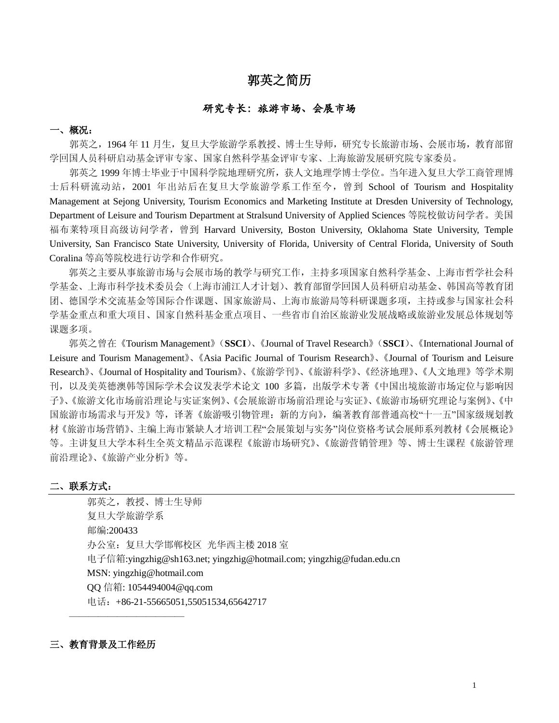# 郭英之简历

### 研究专长:旅游市场、会展市场

### 一、概况:

郭英之,1964 年 11 月生,复旦大学旅游学系教授、博士生导师,研究专长旅游市场、会展市场,教育部留 学回国人员科研启动基金评审专家、国家自然科学基金评审专家、上海旅游发展研究院专家委员。

郭英之 1999 年博士毕业于中国科学院地理研究所,获人文地理学博士学位。当年进入复旦大学工商管理博 士后科研流动站,2001 年出站后在复旦大学旅游学系工作至今,曾到 School of Tourism and Hospitality Management at Sejong University, Tourism Economics and Marketing Institute at Dresden University of Technology, Department of Leisure and Tourism Department at Stralsund University of Applied Sciences 等院校做访问学者。美国 福布莱特项目高级访问学者,曾到 Harvard University, Boston University, Oklahoma State University, Temple University, San Francisco State University, University of Florida, University of Central Florida, University of South Coralina 等高等院校进行访学和合作研究。

郭英之主要从事旅游市场与会展市场的教学与研究工作,主持多项国家自然科学基金、上海市哲学社会科 学基金、上海市科学技术委员会(上海市浦江人才计划)、教育部留学回国人员科研启动基金、韩国高等教育团 团、德国学术交流基金等国际合作课题、国家旅游局、上海市旅游局等科研课题多项,主持或参与国家社会科 学基金重点和重大项目、国家自然科基金重点项目、一些省市自治区旅游业发展战略或旅游业发展总体规划等 课题多项。

郭英之曾在《Tourism Management》(**SSCI**)、《Journal of Travel Research》(**SSCI**)、《International Journal of Leisure and Tourism Management》、《Asia Pacific Journal of Tourism Research》、《Journal of Tourism and Leisure Research》、《Journal of Hospitality and Tourism》、《旅游学刊》、《旅游科学》、《经济地理》、《人文地理》等学术期 刊,以及美英德澳韩等国际学术会议发表学术论文 100 多篇,出版学术专著《中国出境旅游市场定位与影响因 子》、《旅游文化市场前沿理论与实证案例》、《会展旅游市场前沿理论与实证》、《旅游市场研究理论与案例》、《中 国旅游市场需求与开发》等,译著《旅游吸引物管理:新的方向》,编著教育部普通高校"十一五"国家级规划教 材《旅游市场营销》、主编上海市紧缺人才培训工程"会展策划与实务"岗位资格考试会展师系列教材《会展概论》 等。主讲复旦大学本科生全英文精品示范课程《旅游市场研究》、《旅游营销管理》等、博士生课程《旅游管理 前沿理论》、《旅游产业分析》等。

#### 二、联系方式:

郭英之,教授、博士生导师 复旦大学旅游学系 邮编:200433 办公室:复旦大学邯郸校区 光华西主楼 2018 室 电子信箱:yingzhig@sh163.net; [yingzhig@hotmail.com;](mailto:yingzhig@hotmail.com) yingzhig@fudan.edu.cn MSN[: yingzhig@hotmail.com](mailto:yingzhig@hotmail.com) QQ 信箱[: 1054494004@qq.com](mailto:1054494004@qq.com) 电话: +86-21-55665051,55051534,65642717

#### 三、教育背景及工作经历

————————————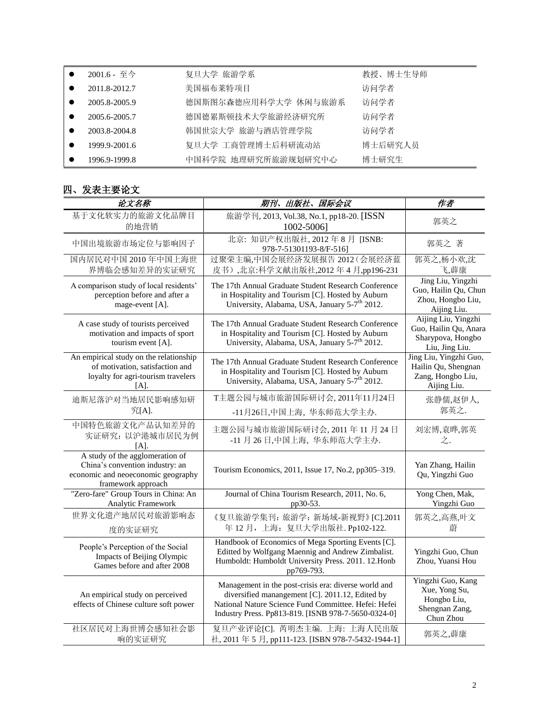| 2001.6 - 至今   | 复旦大学 旅游学系            | 教授、博士生导师 |
|---------------|----------------------|----------|
| 2011.8-2012.7 | 美国福布莱特项目             | 访问学者     |
| 2005.8-2005.9 | 德国斯图尔森德应用科学大学 休闲与旅游系 | 访问学者     |
| 2005.6-2005.7 | 德国德累斯顿技术大学旅游经济研究所    | 访问学者     |
| 2003.8-2004.8 | 韩国世宗大学 旅游与酒店管理学院     | 访问学者     |
| 1999.9-2001.6 | 复旦大学 工商管理博士后科研流动站    | 博士后研究人员  |
| 1996.9-1999.8 | 中国科学院 地理研究所旅游规划研究中心  | 博士研究生    |

## 四、发表主要论文

| 论文名称                                                                                                                           | 期刊、出版社、国际会议                                                                                                                                                                                                            | 作者                                                                                  |
|--------------------------------------------------------------------------------------------------------------------------------|------------------------------------------------------------------------------------------------------------------------------------------------------------------------------------------------------------------------|-------------------------------------------------------------------------------------|
| 基于文化软实力的旅游文化品牌目<br>的地营销                                                                                                        | 旅游学刊, 2013, Vol.38, No.1, pp18-20. [ISSN<br>1002-5006]                                                                                                                                                                 | 郭英之                                                                                 |
| 中国出境旅游市场定位与影响因子                                                                                                                | 北京: 知识产权出版社, 2012年8月 [ISNB:<br>978-7-51301193-8/F-516]                                                                                                                                                                 | 郭英之 著                                                                               |
| 国内居民对中国 2010年中国上海世<br>界博临会感知差异的实证研究                                                                                            | 过聚荣主编,中国会展经济发展报告 2012 (会展经济蓝<br>皮书), 北京:科学文献出版社, 2012年4月, pp196-231                                                                                                                                                    | 郭英之,杨小欢,沈<br>飞,薜康                                                                   |
| A comparison study of local residents'<br>perception before and after a<br>mage-event [A].                                     | The 17th Annual Graduate Student Research Conference<br>in Hospitality and Tourism [C]. Hosted by Auburn<br>University, Alabama, USA, January 5-7 <sup>th</sup> 2012.                                                  | Jing Liu, Yingzhi<br>Guo, Hailin Qu, Chun<br>Zhou, Hongbo Liu,<br>Aijing Liu.       |
| A case study of tourists perceived<br>motivation and impacts of sport<br>tourism event [A].                                    | The 17th Annual Graduate Student Research Conference<br>in Hospitality and Tourism [C]. Hosted by Auburn<br>University, Alabama, USA, January 5-7 <sup>th</sup> 2012.                                                  | Aijing Liu, Yingzhi<br>Guo, Hailin Qu, Anara<br>Sharypova, Hongbo<br>Liu, Jing Liu. |
| An empirical study on the relationship<br>of motivation, satisfaction and<br>loyalty for agri-tourism travelers<br>$[A]$ .     | The 17th Annual Graduate Student Research Conference<br>in Hospitality and Tourism [C]. Hosted by Auburn<br>University, Alabama, USA, January 5-7 <sup>th</sup> 2012.                                                  | Jing Liu, Yingzhi Guo,<br>Hailin Qu, Shengnan<br>Zang, Hongbo Liu,<br>Aijing Liu.   |
| 迪斯尼落沪对当地居民影响感知研                                                                                                                | T主题公园与城市旅游国际研讨会, 2011年11月24日                                                                                                                                                                                           | 张静儒,赵伊人,                                                                            |
| 究[A].                                                                                                                          | -11月26日,中国上海, 华东师范大学主办.                                                                                                                                                                                                | 郭英之.                                                                                |
| 中国特色旅游文化产品认知差异的<br>实证研究: 以沪港城市居民为例<br>$[A]$ .                                                                                  | 主题公园与城市旅游国际研讨会, 2011年11月24日<br>-11月26日,中国上海,华东师范大学主办.                                                                                                                                                                  | 刘宏博,袁晔,郭英<br>之.                                                                     |
| A study of the agglomeration of<br>China's convention industry: an<br>economic and neoeconomic geography<br>framework approach | Tourism Economics, 2011, Issue 17, No.2, pp305-319.                                                                                                                                                                    | Yan Zhang, Hailin<br>Qu, Yingzhi Guo                                                |
| "Zero-fare" Group Tours in China: An<br>Analytic Framework                                                                     | Journal of China Tourism Research, 2011, No. 6,<br>pp30-53.                                                                                                                                                            | Yong Chen, Mak,<br>Yingzhi Guo                                                      |
| 世界文化遗产地居民对旅游影响态<br>度的实证研究                                                                                                      | 《复旦旅游学集刊:旅游学:新场域-新视野》[C].2011<br>年 12月, 上海: 复旦大学出版社. Pp102-122.                                                                                                                                                        | 郭英之,高燕,叶文<br>蔚                                                                      |
| People's Perception of the Social<br>Impacts of Beijing Olympic<br>Games before and after 2008                                 | Handbook of Economics of Mega Sporting Events [C].<br>Editted by Wolfgang Maennig and Andrew Zimbalist.<br>Humboldt: Humboldt University Press. 2011. 12. Honb<br>pp769-793.                                           | Yingzhi Guo, Chun<br>Zhou, Yuansi Hou                                               |
| An empirical study on perceived<br>effects of Chinese culture soft power                                                       | Management in the post-crisis era: diverse world and<br>diversified manangement [C]. 2011.12, Edited by<br>National Nature Science Fund Committee. Hefei: Hefei<br>Industry Press. Pp813-819. [ISNB 978-7-5650-0324-0] | Yingzhi Guo, Kang<br>Xue, Yong Su,<br>Hongbo Liu,<br>Shengnan Zang,<br>Chun Zhou    |
| 社区居民对上海世博会感知社会影<br>响的实证研究                                                                                                      | 复旦产业评论[C]. 芮明杰主编. 上海: 上海人民出版<br>社, 2011年5月, pp111-123. [ISBN 978-7-5432-1944-1]                                                                                                                                        | 郭英之,薜康                                                                              |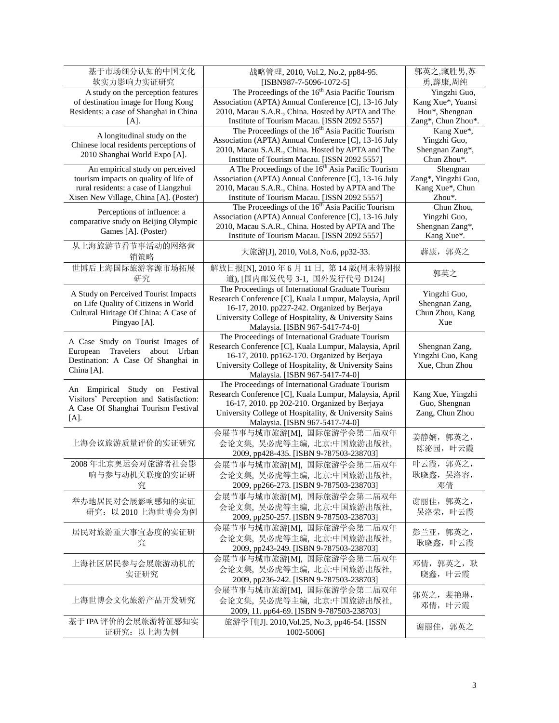| 基于市场细分认知的中国文化<br>软实力影响力实证研究                                                                                                                                | 战略管理, 2010, Vol.2, No.2, pp84-95.<br>[ISBN987-7-5096-1072-5]                                                                                                                                                                                            | 郭英之,藏胜男,苏<br>勇,薜康,周纯                                                      |
|------------------------------------------------------------------------------------------------------------------------------------------------------------|---------------------------------------------------------------------------------------------------------------------------------------------------------------------------------------------------------------------------------------------------------|---------------------------------------------------------------------------|
| A study on the perception features<br>of destination image for Hong Kong<br>Residents: a case of Shanghai in China<br>$[A]$ .                              | The Proceedings of the 16 <sup>th</sup> Asia Pacific Tourism<br>Association (APTA) Annual Conference [C], 13-16 July<br>2010, Macau S.A.R., China. Hosted by APTA and The<br>Institute of Tourism Macau. [ISSN 2092 5557]                               | Yingzhi Guo,<br>Kang Xue*, Yuansi<br>Hou*, Shengnan<br>Zang*, Chun Zhou*. |
| A longitudinal study on the<br>Chinese local residents perceptions of<br>2010 Shanghai World Expo [A].                                                     | The Proceedings of the 16 <sup>th</sup> Asia Pacific Tourism<br>Association (APTA) Annual Conference [C], 13-16 July<br>2010, Macau S.A.R., China. Hosted by APTA and The<br>Institute of Tourism Macau. [ISSN 2092 5557]                               | Kang Xue*,<br>Yingzhi Guo,<br>Shengnan Zang*,<br>Chun Zhou*.              |
| An empirical study on perceived<br>tourism impacts on quality of life of<br>rural residents: a case of Liangzhui<br>Xisen New Village, China [A]. (Poster) | A The Proceedings of the 16 <sup>th</sup> Asia Pacific Tourism<br>Association (APTA) Annual Conference [C], 13-16 July<br>2010, Macau S.A.R., China. Hosted by APTA and The<br>Institute of Tourism Macau. [ISSN 2092 5557]                             | Shengnan<br>Zang*, Yingzhi Guo,<br>Kang Xue*, Chun<br>Zhou*.              |
| Perceptions of influence: a<br>comparative study on Beijing Olympic<br>Games [A]. (Poster)                                                                 | The Proceedings of the 16 <sup>th</sup> Asia Pacific Tourism<br>Association (APTA) Annual Conference [C], 13-16 July<br>2010, Macau S.A.R., China. Hosted by APTA and The<br>Institute of Tourism Macau. [ISSN 2092 5557]                               | Chun Zhou,<br>Yingzhi Guo,<br>Shengnan Zang*,<br>Kang Xue*.               |
| 从上海旅游节看节事活动的网络营<br>销策略                                                                                                                                     | 大旅游[J], 2010, Vol.8, No.6, pp32-33.                                                                                                                                                                                                                     | 薜康, 郭英之                                                                   |
| 世博后上海国际旅游客源市场拓展<br>研究                                                                                                                                      | 解放日报[N], 2010年6月11日, 第14版(周末特别报<br>道), [国内邮发代号 3-1, 国外发行代号 D124]                                                                                                                                                                                        | 郭英之                                                                       |
| A Study on Perceived Tourist Impacts<br>on Life Quality of Citizens in World<br>Cultural Hiritage Of China: A Case of<br>Pingyao [A].                      | The Proceedings of International Graduate Tourism<br>Research Conference [C], Kuala Lumpur, Malaysia, April<br>16-17, 2010. pp227-242. Organized by Berjaya<br>University College of Hospitality, & University Sains<br>Malaysia. [ISBN 967-5417-74-0]  | Yingzhi Guo,<br>Shengnan Zang,<br>Chun Zhou, Kang<br>Xue                  |
| A Case Study on Tourist Images of<br>European<br>Travelers<br>about Urban<br>Destination: A Case Of Shanghai in<br>China [A].                              | The Proceedings of International Graduate Tourism<br>Research Conference [C], Kuala Lumpur, Malaysia, April<br>16-17, 2010. pp162-170. Organized by Berjaya<br>University College of Hospitality, & University Sains<br>Malaysia. [ISBN 967-5417-74-0]  | Shengnan Zang,<br>Yingzhi Guo, Kang<br>Xue, Chun Zhou                     |
| An Empirical Study on Festival<br>Visitors' Perception and Satisfaction:<br>A Case Of Shanghai Tourism Festival<br>[A].                                    | The Proceedings of International Graduate Tourism<br>Research Conference [C], Kuala Lumpur, Malaysia, April<br>16-17, 2010. pp 202-210. Organized by Berjaya<br>University College of Hospitality, & University Sains<br>Malaysia. [ISBN 967-5417-74-0] | Kang Xue, Yingzhi<br>Guo, Shengnan<br>Zang, Chun Zhou                     |
| 上海会议旅游质量评价的实证研究                                                                                                                                            | 会展节事与城市旅游[M], 国际旅游学会第二届双年<br>会论文集, 吴必虎等主编, 北京:中国旅游出版社,<br>2009, pp428-435. [ISBN 9-787503-238703]                                                                                                                                                       | 姜静娴, 郭英之,<br>陈泌园, 叶云霞                                                     |
| 2008年北京奥运会对旅游者社会影<br>响与参与动机关联度的实证研<br>究                                                                                                                    | 会展节事与城市旅游[M], 国际旅游学会第二届双年<br>会论文集, 吴必虎等主编, 北京:中国旅游出版社,<br>2009, pp266-273. [ISBN 9-787503-238703]                                                                                                                                                       | 叶云霞, 郭英之,<br>耿晓鑫,吴洛容,<br>邓倩                                               |
| 举办地居民对会展影响感知的实证<br>研究: 以 2010 上海世博会为例                                                                                                                      | 会展节事与城市旅游[M], 国际旅游学会第二届双年<br>会论文集, 吴必虎等主编, 北京:中国旅游出版社,<br>2009, pp250-257. [ISBN 9-787503-238703]                                                                                                                                                       | 谢丽佳, 郭英之,<br>吴洛荣, 叶云霞                                                     |
| 居民对旅游重大事宜态度的实证研<br>究                                                                                                                                       | 会展节事与城市旅游[M], 国际旅游学会第二届双年<br>会论文集, 吴必虎等主编, 北京:中国旅游出版社,<br>2009, pp243-249. [ISBN 9-787503-238703]                                                                                                                                                       | 彭兰亚, 郭英之,<br>耿晓鑫, 叶云霞                                                     |
| 上海社区居民参与会展旅游动机的<br>实证研究                                                                                                                                    | 会展节事与城市旅游[M], 国际旅游学会第二届双年<br>会论文集, 吴必虎等主编, 北京:中国旅游出版社,<br>2009, pp236-242. [ISBN 9-787503-238703]                                                                                                                                                       | 邓倩, 郭英之, 耿<br>晓鑫, 叶云霞                                                     |
| 上海世博会文化旅游产品开发研究                                                                                                                                            | 会展节事与城市旅游[M], 国际旅游学会第二届双年<br>会论文集, 吴必虎等主编, 北京:中国旅游出版社,<br>2009, 11. pp64-69. [ISBN 9-787503-238703]                                                                                                                                                     | 郭英之, 裴艳琳,<br>邓倩, 叶云霞                                                      |
| 基于IPA评价的会展旅游特征感知实<br>证研究: 以上海为例                                                                                                                            | 旅游学刊[J]. 2010, Vol.25, No.3, pp46-54. [ISSN<br>1002-5006]                                                                                                                                                                                               | 谢丽佳, 郭英之                                                                  |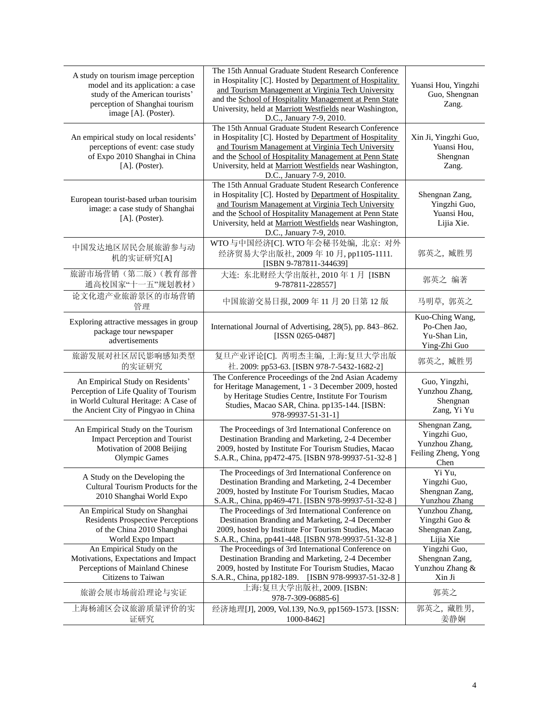| A study on tourism image perception<br>model and its application: a case<br>study of the American tourists'<br>perception of Shanghai tourism<br>image [A]. (Poster). | The 15th Annual Graduate Student Research Conference<br>in Hospitality [C]. Hosted by Department of Hospitality<br>and Tourism Management at Virginia Tech University<br>and the School of Hospitality Management at Penn State<br>University, held at Marriott Westfields near Washington,<br>D.C., January 7-9, 2010. | Yuansi Hou, Yingzhi<br>Guo, Shengnan<br>Zang.                                   |
|-----------------------------------------------------------------------------------------------------------------------------------------------------------------------|-------------------------------------------------------------------------------------------------------------------------------------------------------------------------------------------------------------------------------------------------------------------------------------------------------------------------|---------------------------------------------------------------------------------|
| An empirical study on local residents'<br>perceptions of event: case study<br>of Expo 2010 Shanghai in China<br>[A]. (Poster).                                        | The 15th Annual Graduate Student Research Conference<br>in Hospitality [C]. Hosted by Department of Hospitality<br>and Tourism Management at Virginia Tech University<br>and the School of Hospitality Management at Penn State<br>University, held at Marriott Westfields near Washington,<br>D.C., January 7-9, 2010. | Xin Ji, Yingzhi Guo,<br>Yuansi Hou,<br>Shengnan<br>Zang.                        |
| European tourist-based urban tourisim<br>image: a case study of Shanghai<br>$[A]$ . (Poster).                                                                         | The 15th Annual Graduate Student Research Conference<br>in Hospitality [C]. Hosted by Department of Hospitality<br>and Tourism Management at Virginia Tech University<br>and the School of Hospitality Management at Penn State<br>University, held at Marriott Westfields near Washington,<br>D.C., January 7-9, 2010. | Shengnan Zang,<br>Yingzhi Guo,<br>Yuansi Hou,<br>Lijia Xie.                     |
| 中国发达地区居民会展旅游参与动<br>机的实证研究[A]                                                                                                                                          | WTO 与中国经济[C]. WTO 年会秘书处编, 北京: 对外<br>经济贸易大学出版社, 2009年10月, pp1105-1111.<br>[ISBN 9-787811-344639]                                                                                                                                                                                                                         | 郭英之, 臧胜男                                                                        |
| 旅游市场营销(第二版)(教育部普<br>通高校国家"十一五"规划教材)                                                                                                                                   | 大连: 东北财经大学出版社, 2010年1月 [ISBN<br>9-787811-228557]                                                                                                                                                                                                                                                                        | 郭英之 编著                                                                          |
| 论文化遗产业旅游景区的市场营销<br>管理                                                                                                                                                 | 中国旅游交易日报, 2009年11月20日第12版                                                                                                                                                                                                                                                                                               | 马明草, 郭英之                                                                        |
| Exploring attractive messages in group<br>package tour newspaper<br>advertisements                                                                                    | International Journal of Advertising, 28(5), pp. 843-862.<br>[ISSN 0265-0487]                                                                                                                                                                                                                                           | Kuo-Ching Wang,<br>Po-Chen Jao,<br>Yu-Shan Lin,<br>Ying-Zhi Guo                 |
| 旅游发展对社区居民影响感知类型<br>的实证研究                                                                                                                                              | 复旦产业评论[C]. 芮明杰主编, 上海:复旦大学出版<br>社. 2009: pp53-63. [ISBN 978-7-5432-1682-2]                                                                                                                                                                                                                                               | 郭英之, 臧胜男                                                                        |
| An Empirical Study on Residents'<br>Perception of Life Quality of Tourism<br>in World Cultural Heritage: A Case of<br>the Ancient City of Pingyao in China            | The Conference Proceedings of the 2nd Asian Academy<br>for Heritage Management, 1 - 3 December 2009, hosted<br>by Heritage Studies Centre, Institute For Tourism<br>Studies, Macao SAR, China. pp135-144. [ISBN:<br>978-99937-51-31-1]                                                                                  | Guo, Yingzhi,<br>Yunzhou Zhang,<br>Shengnan<br>Zang, Yi Yu                      |
| An Empirical Study on the Tourism<br><b>Impact Perception and Tourist</b><br>Motivation of 2008 Beijing<br>Olympic Games                                              | The Proceedings of 3rd International Conference on<br>Destination Branding and Marketing, 2-4 December<br>2009, hosted by Institute For Tourism Studies, Macao<br>S.A.R., China, pp472-475. [ISBN 978-99937-51-32-8]                                                                                                    | Shengnan Zang,<br>Yingzhi Guo,<br>Yunzhou Zhang,<br>Feiling Zheng, Yong<br>Chen |
| A Study on the Developing the<br>Cultural Tourism Products for the<br>2010 Shanghai World Expo                                                                        | The Proceedings of 3rd International Conference on<br>Destination Branding and Marketing, 2-4 December<br>2009, hosted by Institute For Tourism Studies, Macao<br>S.A.R., China, pp469-471. [ISBN 978-99937-51-32-8]                                                                                                    | Yi Yu.<br>Yingzhi Guo,<br>Shengnan Zang,<br>Yunzhou Zhang                       |
| An Empirical Study on Shanghai<br><b>Residents Prospective Perceptions</b><br>of the China 2010 Shanghai<br>World Expo Impact                                         | The Proceedings of 3rd International Conference on<br>Destination Branding and Marketing, 2-4 December<br>2009, hosted by Institute For Tourism Studies, Macao<br>S.A.R., China, pp441-448. [ISBN 978-99937-51-32-8]                                                                                                    | Yunzhou Zhang,<br>Yingzhi Guo &<br>Shengnan Zang,<br>Lijia Xie                  |
| An Empirical Study on the<br>Motivations, Expectations and Impact<br>Perceptions of Mainland Chinese<br>Citizens to Taiwan                                            | The Proceedings of 3rd International Conference on<br>Destination Branding and Marketing, 2-4 December<br>2009, hosted by Institute For Tourism Studies, Macao<br>S.A.R., China, pp182-189. [ISBN 978-99937-51-32-8]                                                                                                    | Yingzhi Guo,<br>Shengnan Zang,<br>Yunzhou Zhang &<br>Xin Ji                     |
| 旅游会展市场前沿理论与实证                                                                                                                                                         | 上海:复旦大学出版社, 2009. [ISBN:<br>978-7-309-06885-6]                                                                                                                                                                                                                                                                          | 郭英之                                                                             |
| 上海杨浦区会议旅游质量评价的实<br>证研究                                                                                                                                                | 经济地理[J], 2009, Vol.139, No.9, pp1569-1573. [ISSN:<br>1000-8462]                                                                                                                                                                                                                                                         | 郭英之, 藏胜男,<br>姜静娴                                                                |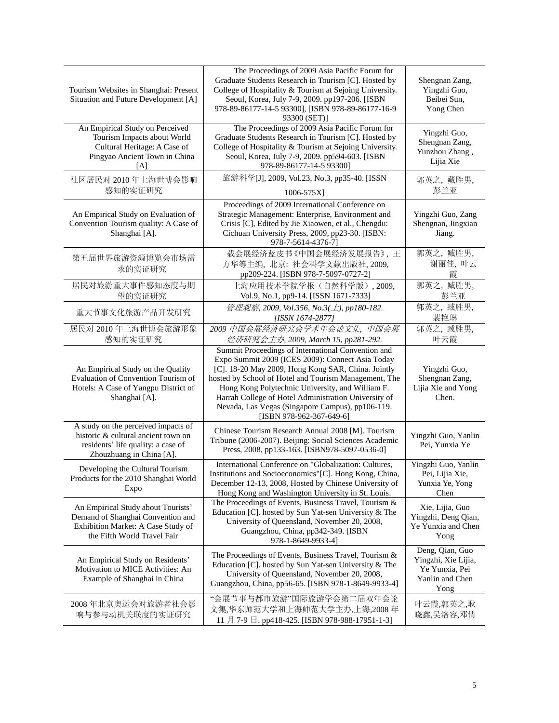| Tourism Websites in Shanghai: Present<br>Situation and Future Development [A]                                                                | The Proceedings of 2009 Asia Pacific Forum for<br>Graduate Students Research in Tourism [C]. Hosted by<br>College of Hospitality & Tourism at Sejoing University.<br>Seoul, Korea, July 7-9, 2009. pp197-206. [ISBN<br>978-89-86177-14-5 93300], [ISBN 978-89-86177-16-9<br>93300 (SET)]                                                                                                                          | Shengnan Zang,<br>Yingzhi Guo,<br>Beibei Sun,<br>Yong Chen                          |
|----------------------------------------------------------------------------------------------------------------------------------------------|-------------------------------------------------------------------------------------------------------------------------------------------------------------------------------------------------------------------------------------------------------------------------------------------------------------------------------------------------------------------------------------------------------------------|-------------------------------------------------------------------------------------|
| An Empirical Study on Perceived<br>Tourism Impacts about World<br>Cultural Heritage: A Case of<br>Pingyao Ancient Town in China<br>[A]       | The Proceedings of 2009 Asia Pacific Forum for<br>Graduate Students Research in Tourism [C]. Hosted by<br>College of Hospitality & Tourism at Sejoing University.<br>Seoul, Korea, July 7-9, 2009. pp594-603. [ISBN<br>978-89-86177-14-5 93300]                                                                                                                                                                   | Yingzhi Guo,<br>Shengnan Zang,<br>Yunzhou Zhang,<br>Lijia Xie                       |
| 社区居民对 2010年上海世博会影响<br>感知的实证研究                                                                                                                | 旅游科学[J], 2009, Vol.23, No.3, pp35-40. [ISSN<br>1006-575X]                                                                                                                                                                                                                                                                                                                                                         | 郭英之, 藏胜男,<br>彭兰亚                                                                    |
| An Empirical Study on Evaluation of<br>Convention Tourism quality: A Case of<br>Shanghai [A].                                                | Proceedings of 2009 International Conference on<br>Strategic Management: Enterprise, Environment and<br>Crisis [C], Edited by Jie Xiaowen, et al., Chengdu:<br>Cichuan University Press, 2009, pp23-30. [ISBN:<br>978-7-5614-4376-7]                                                                                                                                                                              | Yingzhi Guo, Zang<br>Shengnan, Jingxian<br>Jiang.                                   |
| 第五届世界旅游资源博览会市场需<br>求的实证研究                                                                                                                    | 载会展经济蓝皮书《中国会展经济发展报告》,王<br>方华等主编, 北京: 社会科学文献出版社, 2009,<br>pp209-224. [ISBN 978-7-5097-0727-2]                                                                                                                                                                                                                                                                                                                      | 郭英之,臧胜男,<br>谢丽佳, 叶云<br>霞                                                            |
| 居民对旅游重大事件感知态度与期<br>望的实证研究                                                                                                                    | 上海应用技术学院学报(自然科学版), 2009,<br>Vol.9, No.1, pp9-14. [ISSN 1671-7333]                                                                                                                                                                                                                                                                                                                                                 | 郭英之, 臧胜男,<br>彭兰亚                                                                    |
| 重大节事文化旅游产品开发研究                                                                                                                               | 管理观察, 2009, Vol.356, No.3(上), pp180-182.<br>[ISSN 1674-2877]                                                                                                                                                                                                                                                                                                                                                      | 郭英之,臧胜男,<br>裴艳琳                                                                     |
| 居民对 2010年上海世博会旅游形象<br>感知的实证研究                                                                                                                | 2009 中国会展经济研究会学术年会论文集, 中国会展<br>经济研究会主办, 2009, March 15, pp281-292.                                                                                                                                                                                                                                                                                                                                                | 郭英之,臧胜男,<br>叶云霞                                                                     |
| An Empirical Study on the Quality<br>Evaluation of Convention Tourism of<br>Hotels: A Case of Yangpu District of<br>Shanghai [A].            | Summit Proceedings of International Convention and<br>Expo Summit 2009 (ICES 2009): Connect Asia Today<br>[C]. 18-20 May 2009, Hong Kong SAR, China. Jointly<br>hosted by School of Hotel and Tourism Management, The<br>Hong Kong Polytechnic University, and William F.<br>Harrah College of Hotel Administration University of<br>Nevada, Las Vegas (Singapore Campus), pp106-119.<br>[ISBN 978-962-367-649-6] | Yingzhi Guo,<br>Shengnan Zang,<br>Lijia Xie and Yong<br>Chen.                       |
| A study on the perceived impacts of<br>historic & cultural ancient town on<br>residents' life quality: a case of<br>Zhouzhuang in China [A]. | Chinese Tourism Research Annual 2008 [M]. Tourism<br>Tribune (2006-2007). Beijing: Social Sciences Academic<br>Press, 2008, pp133-163. [ISBN978-5097-0536-0]                                                                                                                                                                                                                                                      | Yingzhi Guo, Yanlin<br>Pei, Yunxia Ye                                               |
| Developing the Cultural Tourism<br>Products for the 2010 Shanghai World<br>Expo                                                              | International Conference on "Globalization: Cultures,<br>Institutions and Socioeconomics"[C]. Hong Kong, China,<br>December 12-13, 2008, Hosted by Chinese University of<br>Hong Kong and Washington University in St. Louis.                                                                                                                                                                                     | Yingzhi Guo, Yanlin<br>Pei, Lijia Xie,<br>Yunxia Ye, Yong<br>Chen                   |
| An Empirical Study about Tourists'<br>Demand of Shanghai Convention and<br>Exhibition Market: A Case Study of<br>the Fifth World Travel Fair | The Proceedings of Events, Business Travel, Tourism &<br>Education [C]. hosted by Sun Yat-sen University & The<br>University of Queensland, November 20, 2008,<br>Guangzhou, China, pp342-349. [ISBN<br>978-1-8649-9933-4]                                                                                                                                                                                        | Xie, Lijia, Guo<br>Yingzhi, Deng Qian,<br>Ye Yunxia and Chen<br>Yong                |
| An Empirical Study on Residents'<br>Motivation to MICE Activities: An<br>Example of Shanghai in China                                        | The Proceedings of Events, Business Travel, Tourism &<br>Education [C]. hosted by Sun Yat-sen University & The<br>University of Queensland, November 20, 2008,<br>Guangzhou, China, pp56-65. [ISBN 978-1-8649-9933-4]                                                                                                                                                                                             | Deng, Qian, Guo<br>Yingzhi, Xie Lijia,<br>Ye Yunxia, Pei<br>Yanlin and Chen<br>Yong |
| 2008年北京奥运会对旅游者社会影<br>响与参与动机关联度的实证研究                                                                                                          | "会展节事与都市旅游"国际旅游学会第二届双年会论<br>文集,华东师范大学和上海师范大学主办,上海,2008年<br>11 月 7-9 日. pp418-425. [ISBN 978-988-17951-1-3]                                                                                                                                                                                                                                                                                                        | 叶云霞,郭英之,耿<br>晓鑫,吴洛容,邓倩                                                              |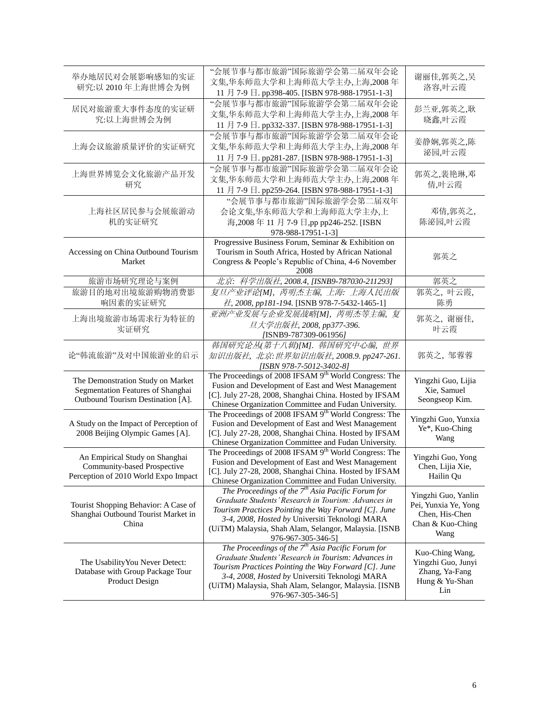| 举办地居民对会展影响感知的实证<br>研究:以 2010年上海世博会为例                                                                        | "会展节事与都市旅游"国际旅游学会第二届双年会论<br>文集,华东师范大学和上海师范大学主办,上海,2008年<br>11 月 7-9 日. pp398-405. [ISBN 978-988-17951-1-3]                                                                                                                                                                                          | 谢丽佳,郭英之,吴<br>洛容,叶云霞                                                                       |
|-------------------------------------------------------------------------------------------------------------|-----------------------------------------------------------------------------------------------------------------------------------------------------------------------------------------------------------------------------------------------------------------------------------------------------|-------------------------------------------------------------------------------------------|
| 居民对旅游重大事件态度的实证研<br>究:以上海世博会为例                                                                               | "会展节事与都市旅游"国际旅游学会第二届双年会论<br>文集,华东师范大学和上海师范大学主办,上海,2008年<br>11 月 7-9 日. pp332-337. [ISBN 978-988-17951-1-3]                                                                                                                                                                                          | 彭兰亚,郭英之,耿<br>晓鑫,叶云霞                                                                       |
| 上海会议旅游质量评价的实证研究                                                                                             | "会展节事与都市旅游"国际旅游学会第二届双年会论<br>文集,华东师范大学和上海师范大学主办,上海,2008年<br>11 月 7-9 日. pp281-287. [ISBN 978-988-17951-1-3]                                                                                                                                                                                          | 姜静娴,郭英之,陈<br>泌园,叶云霞                                                                       |
| 上海世界博览会文化旅游产品开发<br>研究                                                                                       | "会展节事与都市旅游"国际旅游学会第二届双年会论<br>文集,华东师范大学和上海师范大学主办,上海,2008年<br>11 月 7-9 日. pp259-264. [ISBN 978-988-17951-1-3]                                                                                                                                                                                          | 郭英之,裴艳琳,邓<br>倩,叶云霞                                                                        |
| 上海社区居民参与会展旅游动<br>机的实证研究                                                                                     | "会展节事与都市旅游"国际旅游学会第二届双年<br>会论文集,华东师范大学和上海师范大学主办,上<br>海,2008年11月7-9日,pp pp246-252. [ISBN<br>978-988-17951-1-3]                                                                                                                                                                                        | 邓倩,郭英之,<br>陈泌园,叶云霞                                                                        |
| Accessing on China Outbound Tourism<br>Market                                                               | Progressive Business Forum, Seminar & Exhibition on<br>Tourism in South Africa, Hosted by African National<br>Congress & People's Republic of China, 4-6 November<br>2008                                                                                                                           | 郭英之                                                                                       |
| 旅游市场研究理论与案例                                                                                                 | 北京: 科学出版社, 2008.4, [ISNB9-787030-211293]                                                                                                                                                                                                                                                            | 郭英之                                                                                       |
| 旅游目的地对出境旅游购物消费影<br>响因素的实证研究                                                                                 | 复旦产业评论[M], 芮明杰主编, 上海: 上海人民出版<br>社, 2008, pp181-194. [ISNB 978-7-5432-1465-1]                                                                                                                                                                                                                        | 郭英之,叶云霞,<br>陈勇                                                                            |
| 上海出境旅游市场需求行为特征的<br>实证研究                                                                                     | 亚洲产业发展与企业发展战略[M], 芮明杰等主编, 复<br>旦大学出版社, 2008, pp377-396.<br>[ISNB9-787309-061956]                                                                                                                                                                                                                    | 郭英之,谢丽佳,<br>叶云霞                                                                           |
| 论"韩流旅游"及对中国旅游业的启示                                                                                           | 韩国研究论丛(第十八辑)[M]. 韩国研究中心编, 世界<br>知识出版社, 北京:世界知识出版社, 2008.9. pp247-261.<br>[ISBN 978-7-5012-3402-8]                                                                                                                                                                                                   | 郭英之, 邹蓉蓉                                                                                  |
| The Demonstration Study on Market<br>Segmentation Features of Shanghai<br>Outbound Tourism Destination [A]. | The Proceedings of 2008 IFSAM 9 <sup>th</sup> World Congress: The<br>Fusion and Development of East and West Management<br>[C]. July 27-28, 2008, Shanghai China. Hosted by IFSAM<br>Chinese Organization Committee and Fudan University.                                                           | Yingzhi Guo, Lijia<br>Xie, Samuel<br>Seongseop Kim.                                       |
| A Study on the Impact of Perception of<br>2008 Beijing Olympic Games [A].                                   | The Proceedings of 2008 IFSAM 9 <sup>th</sup> World Congress: The<br>Fusion and Development of East and West Management<br>[C]. July 27-28, 2008, Shanghai China. Hosted by IFSAM<br>Chinese Organization Committee and Fudan University.                                                           | Yingzhi Guo, Yunxia<br>Ye*, Kuo-Ching<br>Wang                                             |
| An Empirical Study on Shanghai<br>Community-based Prospective<br>Perception of 2010 World Expo Impact       | The Proceedings of 2008 IFSAM 9 <sup>th</sup> World Congress: The<br>Fusion and Development of East and West Management<br>[C]. July 27-28, 2008, Shanghai China. Hosted by IFSAM<br>Chinese Organization Committee and Fudan University.                                                           | Yingzhi Guo, Yong<br>Chen, Lijia Xie,<br>Hailin Qu                                        |
| Tourist Shopping Behavior: A Case of<br>Shanghai Outbound Tourist Market in<br>China                        | The Proceedings of the $7th$ Asia Pacific Forum for<br>Graduate Students' Research in Tourism: Advances in<br>Tourism Practices Pointing the Way Forward [C]. June<br>3-4, 2008, Hosted by Universiti Teknologi MARA<br>(UiTM) Malaysia, Shah Alam, Selangor, Malaysia. [ISNB<br>976-967-305-346-5] | Yingzhi Guo, Yanlin<br>Pei, Yunxia Ye, Yong<br>Chen, His-Chen<br>Chan & Kuo-Ching<br>Wang |
| The Usability You Never Detect:<br>Database with Group Package Tour<br>Product Design                       | The Proceedings of the $7th$ Asia Pacific Forum for<br>Graduate Students' Research in Tourism: Advances in<br>Tourism Practices Pointing the Way Forward [C]. June<br>3-4, 2008, Hosted by Universiti Teknologi MARA<br>(UiTM) Malaysia, Shah Alam, Selangor, Malaysia. [ISNB<br>976-967-305-346-5] | Kuo-Ching Wang,<br>Yingzhi Guo, Junyi<br>Zhang, Ya-Fang<br>Hung & Yu-Shan<br>Lin          |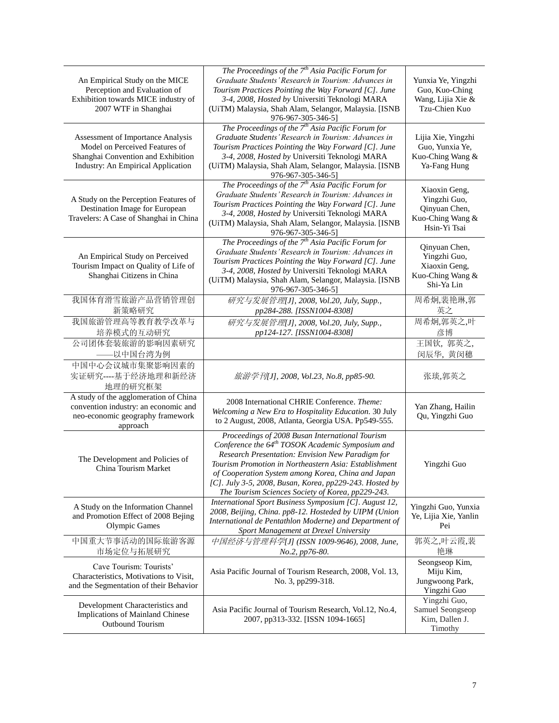| An Empirical Study on the MICE<br>Perception and Evaluation of<br>Exhibition towards MICE industry of<br>2007 WTF in Shanghai                   | The Proceedings of the 7 <sup>th</sup> Asia Pacific Forum for<br>Graduate Students' Research in Tourism: Advances in<br>Tourism Practices Pointing the Way Forward [C]. June<br>3-4, 2008, Hosted by Universiti Teknologi MARA<br>(UiTM) Malaysia, Shah Alam, Selangor, Malaysia. [ISNB<br>976-967-305-346-5]                                                                                      | Yunxia Ye, Yingzhi<br>Guo, Kuo-Ching<br>Wang, Lijia Xie &<br>Tzu-Chien Kuo         |
|-------------------------------------------------------------------------------------------------------------------------------------------------|----------------------------------------------------------------------------------------------------------------------------------------------------------------------------------------------------------------------------------------------------------------------------------------------------------------------------------------------------------------------------------------------------|------------------------------------------------------------------------------------|
| Assessment of Importance Analysis<br>Model on Perceived Features of<br>Shanghai Convention and Exhibition<br>Industry: An Empirical Application | The Proceedings of the $7th$ Asia Pacific Forum for<br>Graduate Students' Research in Tourism: Advances in<br>Tourism Practices Pointing the Way Forward [C]. June<br>3-4, 2008, Hosted by Universiti Teknologi MARA<br>(UiTM) Malaysia, Shah Alam, Selangor, Malaysia. [ISNB<br>976-967-305-346-5]                                                                                                | Lijia Xie, Yingzhi<br>Guo, Yunxia Ye,<br>Kuo-Ching Wang &<br>Ya-Fang Hung          |
| A Study on the Perception Features of<br>Destination Image for European<br>Travelers: A Case of Shanghai in China                               | The Proceedings of the $7th$ Asia Pacific Forum for<br>Graduate Students' Research in Tourism: Advances in<br>Tourism Practices Pointing the Way Forward [C]. June<br>3-4, 2008, Hosted by Universiti Teknologi MARA<br>(UiTM) Malaysia, Shah Alam, Selangor, Malaysia. [ISNB<br>976-967-305-346-5]                                                                                                | Xiaoxin Geng,<br>Yingzhi Guo,<br>Qinyuan Chen,<br>Kuo-Ching Wang &<br>Hsin-Yi Tsai |
| An Empirical Study on Perceived<br>Tourism Impact on Quality of Life of<br>Shanghai Citizens in China                                           | The Proceedings of the $7th$ Asia Pacific Forum for<br>Graduate Students' Research in Tourism: Advances in<br>Tourism Practices Pointing the Way Forward [C]. June<br>3-4, 2008, Hosted by Universiti Teknologi MARA<br>(UiTM) Malaysia, Shah Alam, Selangor, Malaysia. [ISNB<br>976-967-305-346-5]                                                                                                | Qinyuan Chen,<br>Yingzhi Guo,<br>Xiaoxin Geng,<br>Kuo-Ching Wang &<br>Shi-Ya Lin   |
| 我国体育滑雪旅游产品营销管理创<br>新策略研究                                                                                                                        | 研究与发展管理[J], 2008, Vol.20, July, Supp.,<br>pp284-288. [ISSN1004-8308]                                                                                                                                                                                                                                                                                                                               | 周希炯,裴艳琳,郭<br>英之                                                                    |
| 我国旅游管理高等教育教学改革与<br>培养模式的互动研究                                                                                                                    | 研究与发展管理[J], 2008, Vol.20, July, Supp.,<br>pp124-127. [ISSN1004-8308]                                                                                                                                                                                                                                                                                                                               | 周希炯,郭英之,叶<br>彦博                                                                    |
| 公司团体套装旅游的影响因素研究<br>——以中国台湾为例                                                                                                                    |                                                                                                                                                                                                                                                                                                                                                                                                    | 王国钦, 郭英之,<br>闵辰华, 黄闵穗                                                              |
| 中国中心会议城市集聚影响因素的<br>实证研究----基于经济地理和新经济<br>地理的研究框架                                                                                                | 旅游学刊[J], 2008, Vol.23, No.8, pp85-90.                                                                                                                                                                                                                                                                                                                                                              | 张琰,郭英之                                                                             |
| A study of the agglomeration of China<br>convention industry: an economic and<br>neo-economic geography framework<br>approach                   | 2008 International CHRIE Conference. Theme:<br>Welcoming a New Era to Hospitality Education. 30 July<br>to 2 August, 2008, Atlanta, Georgia USA. Pp549-555.                                                                                                                                                                                                                                        | Yan Zhang, Hailin<br>Qu, Yingzhi Guo                                               |
| The Development and Policies of<br>China Tourism Market                                                                                         | Proceedings of 2008 Busan International Tourism<br>Conference the 64 <sup>th</sup> TOSOK Academic Symposium and<br>Research Presentation: Envision New Paradigm for<br>Tourism Promotion in Northeastern Asia: Establishment<br>of Cooperation System among Korea, China and Japan<br>[C]. July 3-5, 2008, Busan, Korea, pp229-243. Hosted by<br>The Tourism Sciences Society of Korea, pp229-243. | Yingzhi Guo                                                                        |
| A Study on the Information Channel<br>and Promotion Effect of 2008 Bejing<br><b>Olympic Games</b>                                               | International Sport Business Symposium [C]. August 12,<br>2008, Beijing, China. pp8-12. Hosteded by UIPM (Union<br>International de Pentathlon Moderne) and Department of<br>Sport Management at Drexel University                                                                                                                                                                                 | Yingzhi Guo, Yunxia<br>Ye, Lijia Xie, Yanlin<br>Pei                                |
| 中国重大节事活动的国际旅游客源<br>市场定位与拓展研究                                                                                                                    | 中国经济与管理科学[J] (ISSN 1009-9646), 2008, June,<br>No.2, pp76-80.                                                                                                                                                                                                                                                                                                                                       | 郭英之,叶云霞,裴<br>艳琳                                                                    |
| Cave Tourism: Tourists'<br>Characteristics, Motivations to Visit,<br>and the Segmentation of their Behavior                                     | Asia Pacific Journal of Tourism Research, 2008, Vol. 13,<br>No. 3, pp299-318.                                                                                                                                                                                                                                                                                                                      | Seongseop Kim,<br>Miju Kim,<br>Jungwoong Park,<br>Yingzhi Guo                      |
| Development Characteristics and<br>Implications of Mainland Chinese<br>Outbound Tourism                                                         | Asia Pacific Journal of Tourism Research, Vol.12, No.4,<br>2007, pp313-332. [ISSN 1094-1665]                                                                                                                                                                                                                                                                                                       | Yingzhi Guo,<br>Samuel Seongseop<br>Kim, Dallen J.<br>Timothy                      |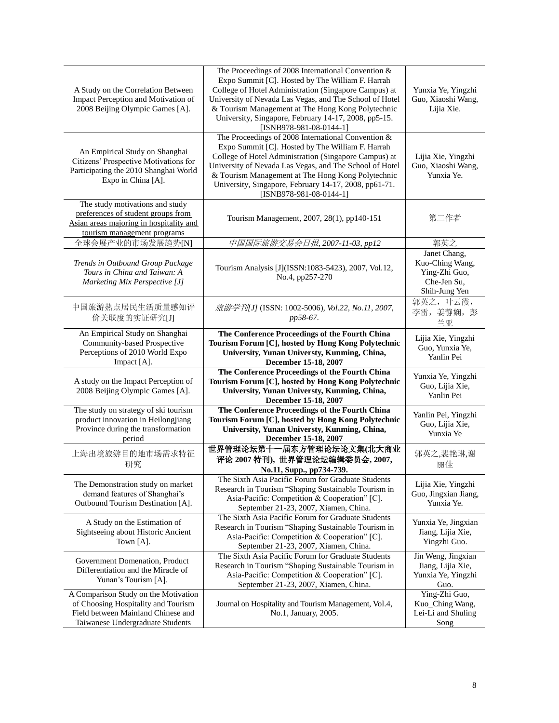| Yunan's Tourism [A].<br>A Comparison Study on the Motivation<br>of Choosing Hospitality and Tourism<br>Field between Mainland Chinese and<br>Taiwanese Undergraduate Students | September 21-23, 2007, Xiamen, China.<br>Journal on Hospitality and Tourism Management, Vol.4,<br>No.1, January, 2005.                                                                                                                                                                                                                                             | Guo.<br>Ying-Zhi Guo,<br>Kuo_Ching Wang,<br>Lei-Li and Shuling<br>Song           |
|-------------------------------------------------------------------------------------------------------------------------------------------------------------------------------|--------------------------------------------------------------------------------------------------------------------------------------------------------------------------------------------------------------------------------------------------------------------------------------------------------------------------------------------------------------------|----------------------------------------------------------------------------------|
| Government Domenation, Product<br>Differentiation and the Miracle of                                                                                                          | The Sixth Asia Pacific Forum for Graduate Students<br>Research in Tourism "Shaping Sustainable Tourism in<br>Asia-Pacific: Competition & Cooperation" [C].                                                                                                                                                                                                         | Jin Weng, Jingxian<br>Jiang, Lijia Xie,<br>Yunxia Ye, Yingzhi                    |
| A Study on the Estimation of<br>Sightseeing about Historic Ancient<br>Town [A].                                                                                               | The Sixth Asia Pacific Forum for Graduate Students<br>Research in Tourism "Shaping Sustainable Tourism in<br>Asia-Pacific: Competition & Cooperation" [C].<br>September 21-23, 2007, Xiamen, China.                                                                                                                                                                | Yunxia Ye, Jingxian<br>Jiang, Lijia Xie,<br>Yingzhi Guo.                         |
| The Demonstration study on market<br>demand features of Shanghai's<br>Outbound Tourism Destination [A].                                                                       | The Sixth Asia Pacific Forum for Graduate Students<br>Research in Tourism "Shaping Sustainable Tourism in<br>Asia-Pacific: Competition & Cooperation" [C].<br>September 21-23, 2007, Xiamen, China.                                                                                                                                                                | Lijia Xie, Yingzhi<br>Guo, Jingxian Jiang,<br>Yunxia Ye.                         |
| 上海出境旅游目的地市场需求特征<br>研究                                                                                                                                                         | 世界管理论坛第十一届东方管理论坛论文集(北大商业<br>评论 2007 特刊), 世界管理论坛编辑委员会, 2007,<br>No.11, Supp., pp734-739.                                                                                                                                                                                                                                                                            | 郭英之,裴艳琳,谢<br>丽佳                                                                  |
| The study on strategy of ski tourism<br>product innovation in Heilongjiang<br>Province during the transformation<br>period                                                    | The Conference Proceedings of the Fourth China<br>Tourism Forum [C], hosted by Hong Kong Polytechnic<br>University, Yunan Universty, Kunming, China,<br>December 15-18, 2007                                                                                                                                                                                       | Yanlin Pei, Yingzhi<br>Guo, Lijia Xie,<br>Yunxia Ye                              |
| A study on the Impact Perception of<br>2008 Beijing Olympic Games [A].                                                                                                        | The Conference Proceedings of the Fourth China<br>Tourism Forum [C], hosted by Hong Kong Polytechnic<br>University, Yunan Universty, Kunming, China,<br>December 15-18, 2007                                                                                                                                                                                       | Yunxia Ye, Yingzhi<br>Guo, Lijia Xie,<br>Yanlin Pei                              |
| An Empirical Study on Shanghai<br>Community-based Prospective<br>Perceptions of 2010 World Expo<br>Impact [A].                                                                | The Conference Proceedings of the Fourth China<br>Tourism Forum [C], hosted by Hong Kong Polytechnic<br>University, Yunan Universty, Kunming, China,<br>December 15-18, 2007                                                                                                                                                                                       | Lijia Xie, Yingzhi<br>Guo, Yunxia Ye,<br>Yanlin Pei                              |
| 中国旅游热点居民生活质量感知评<br>价关联度的实证研究[J]                                                                                                                                               | 旅游学刊[J] (ISSN: 1002-5006), Vol.22, No.11, 2007,<br>pp58-67.                                                                                                                                                                                                                                                                                                        | 郭英之, 叶云霞,<br>李雷, 姜静娴, 彭<br>兰亚                                                    |
| Trends in Outbound Group Package<br>Tours in China and Taiwan: A<br>Marketing Mix Perspective [J]                                                                             | Tourism Analysis [J](ISSN:1083-5423), 2007, Vol.12,<br>No.4, pp257-270                                                                                                                                                                                                                                                                                             | Janet Chang,<br>Kuo-Ching Wang,<br>Ying-Zhi Guo,<br>Che-Jen Su,<br>Shih-Jung Yen |
| Asian areas majoring in hospitality and<br>tourism management programs<br>全球会展产业的市场发展趋势[N]                                                                                    | Tourism Management, 2007, 28(1), pp140-151<br>中国国际旅游交易会日报, 2007-11-03, pp12                                                                                                                                                                                                                                                                                        | 第二作者<br>郭英之                                                                      |
| The study motivations and study<br>preferences of student groups from                                                                                                         | [ISNB978-981-08-0144-1]                                                                                                                                                                                                                                                                                                                                            |                                                                                  |
| An Empirical Study on Shanghai<br>Citizens' Prospective Motivations for<br>Participating the 2010 Shanghai World<br>Expo in China [A].                                        | The Proceedings of 2008 International Convention &<br>Expo Summit [C]. Hosted by The William F. Harrah<br>College of Hotel Administration (Singapore Campus) at<br>University of Nevada Las Vegas, and The School of Hotel<br>& Tourism Management at The Hong Kong Polytechnic<br>University, Singapore, February 14-17, 2008, pp61-71.                           | Lijia Xie, Yingzhi<br>Guo, Xiaoshi Wang,<br>Yunxia Ye.                           |
| A Study on the Correlation Between<br>Impact Perception and Motivation of<br>2008 Beijing Olympic Games [A].                                                                  | The Proceedings of 2008 International Convention &<br>Expo Summit [C]. Hosted by The William F. Harrah<br>College of Hotel Administration (Singapore Campus) at<br>University of Nevada Las Vegas, and The School of Hotel<br>& Tourism Management at The Hong Kong Polytechnic<br>University, Singapore, February 14-17, 2008, pp5-15.<br>[ISNB978-981-08-0144-1] | Yunxia Ye, Yingzhi<br>Guo, Xiaoshi Wang,<br>Lijia Xie.                           |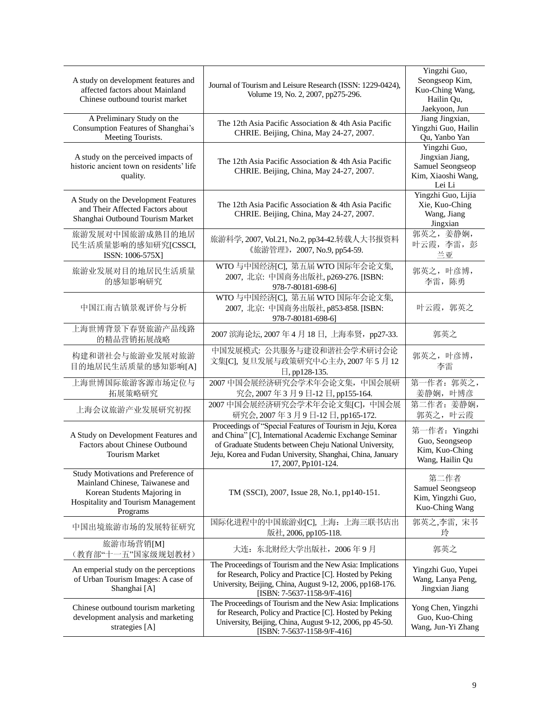| A study on development features and<br>affected factors about Mainland<br>Chinese outbound tourist market                                               | Journal of Tourism and Leisure Research (ISSN: 1229-0424),<br>Volume 19, No. 2, 2007, pp275-296.                                                                                                                                                                       | Yingzhi Guo,<br>Seongseop Kim,<br>Kuo-Ching Wang,<br>Hailin Qu,<br>Jaekyoon, Jun    |
|---------------------------------------------------------------------------------------------------------------------------------------------------------|------------------------------------------------------------------------------------------------------------------------------------------------------------------------------------------------------------------------------------------------------------------------|-------------------------------------------------------------------------------------|
| A Preliminary Study on the<br>Consumption Features of Shanghai's<br>Meeting Tourists.                                                                   | The 12th Asia Pacific Association & 4th Asia Pacific<br>CHRIE. Beijing, China, May 24-27, 2007.                                                                                                                                                                        | Jiang Jingxian,<br>Yingzhi Guo, Hailin<br>Qu, Yanbo Yan                             |
| A study on the perceived impacts of<br>historic ancient town on residents' life<br>quality.                                                             | The 12th Asia Pacific Association & 4th Asia Pacific<br>CHRIE. Beijing, China, May 24-27, 2007.                                                                                                                                                                        | Yingzhi Guo,<br>Jingxian Jiang,<br>Samuel Seongseop<br>Kim, Xiaoshi Wang,<br>Lei Li |
| A Study on the Development Features<br>and Their Affected Factors about<br>Shanghai Outbound Tourism Market                                             | The 12th Asia Pacific Association & 4th Asia Pacific<br>CHRIE. Beijing, China, May 24-27, 2007.                                                                                                                                                                        | Yingzhi Guo, Lijia<br>Xie, Kuo-Ching<br>Wang, Jiang<br>Jingxian                     |
| 旅游发展对中国旅游成熟目的地居<br>民生活质量影响的感知研究[CSSCI,<br>ISSN: 1006-575X]                                                                                              | 旅游科学, 2007, Vol.21, No.2, pp34-42.转载人大书报资料<br>《旅游管理》, 2007, No.9, pp54-59.                                                                                                                                                                                             | 郭英之, 姜静娴,<br>叶云霞, 李雷, 彭<br>兰亚                                                       |
| 旅游业发展对目的地居民生活质量<br>的感知影响研究                                                                                                                              | WTO 与中国经济[C], 第五届 WTO 国际年会论文集,<br>2007, 北京: 中国商务出版社, p269-276. [ISBN:<br>978-7-80181-698-6]                                                                                                                                                                            | 郭英之, 叶彦博,<br>李雷, 陈勇                                                                 |
| 中国江南古镇景观评价与分析                                                                                                                                           | WTO 与中国经济[C], 第五届 WTO 国际年会论文集,<br>2007, 北京: 中国商务出版社, p853-858. [ISBN:<br>978-7-80181-698-6]                                                                                                                                                                            | 叶云霞, 郭英之                                                                            |
| 上海世博背景下春贤旅游产品线路<br>的精品营销拓展战略                                                                                                                            | 2007 滨海论坛, 2007 年 4 月 18 日, 上海奉贤, pp27-33.                                                                                                                                                                                                                             | 郭英之                                                                                 |
| 构建和谐社会与旅游业发展对旅游<br>目的地居民生活质量的感知影响[A]                                                                                                                    | 中国发展模式: 公共服务与建设和谐社会学术研讨会论<br>文集[C], 复旦发展与政策研究中心主办, 2007年5月12<br>日, pp128-135.                                                                                                                                                                                          | 郭英之, 叶彦博,<br>李雷                                                                     |
| 上海世博国际旅游客源市场定位与<br>拓展策略研究                                                                                                                               | 2007 中国会展经济研究会学术年会论文集,中国会展研<br>究会, 2007年3月9日-12日, pp155-164.                                                                                                                                                                                                           | 第一作者: 郭英之,<br>姜静娴, 叶博彦                                                              |
| 上海会议旅游产业发展研究初探                                                                                                                                          | 2007 中国会展经济研究会学术年会论文集[C], 中国会展<br>研究会, 2007年3月9日-12日, pp165-172.                                                                                                                                                                                                       | 第二作者: 姜静娴,<br>郭英之, 叶云霞                                                              |
| A Study on Development Features and<br>Factors about Chinese Outbound<br><b>Tourism Market</b>                                                          | Proceedings of "Special Features of Tourism in Jeju, Korea<br>and China" [C], International Academic Exchange Seminar<br>of Graduate Students between Cheju National University,<br>Jeju, Korea and Fudan University, Shanghai, China, January<br>17, 2007, Pp101-124. | 第一作者: Yingzhi<br>Guo, Seongseop<br>Kim, Kuo-Ching<br>Wang, Hailin Qu                |
| Study Motivations and Preference of<br>Mainland Chinese, Taiwanese and<br>Korean Students Majoring in<br>Hospitality and Tourism Management<br>Programs | TM (SSCI), 2007, Issue 28, No.1, pp140-151.                                                                                                                                                                                                                            | 第二作者<br>Samuel Seongseop<br>Kim, Yingzhi Guo,<br>Kuo-Ching Wang                     |
| 中国出境旅游市场的发展特征研究                                                                                                                                         | 国际化进程中的中国旅游业[C], 上海: 上海三联书店出<br>版社, 2006, pp105-118.                                                                                                                                                                                                                   | 郭英之,李雷,宋书<br>玲                                                                      |
| 旅游市场营销[M]<br>(教育部"十一五"国家级规划教材)                                                                                                                          | 大连: 东北财经大学出版社, 2006年9月                                                                                                                                                                                                                                                 | 郭英之                                                                                 |
| An emperial study on the perceptions<br>of Urban Tourism Images: A case of<br>Shanghai [A]                                                              | The Proceedings of Tourism and the New Asia: Implications<br>for Research, Policy and Practice [C]. Hosted by Peking<br>University, Beijing, China, August 9-12, 2006, pp168-176.<br>[ISBN: 7-5637-1158-9/F-416]                                                       | Yingzhi Guo, Yupei<br>Wang, Lanya Peng,<br>Jingxian Jiang                           |
| Chinese outbound tourism marketing<br>development analysis and marketing<br>strategies [A]                                                              | The Proceedings of Tourism and the New Asia: Implications<br>for Research, Policy and Practice [C]. Hosted by Peking<br>University, Beijing, China, August 9-12, 2006, pp 45-50.<br>[ISBN: 7-5637-1158-9/F-416]                                                        | Yong Chen, Yingzhi<br>Guo, Kuo-Ching<br>Wang, Jun-Yi Zhang                          |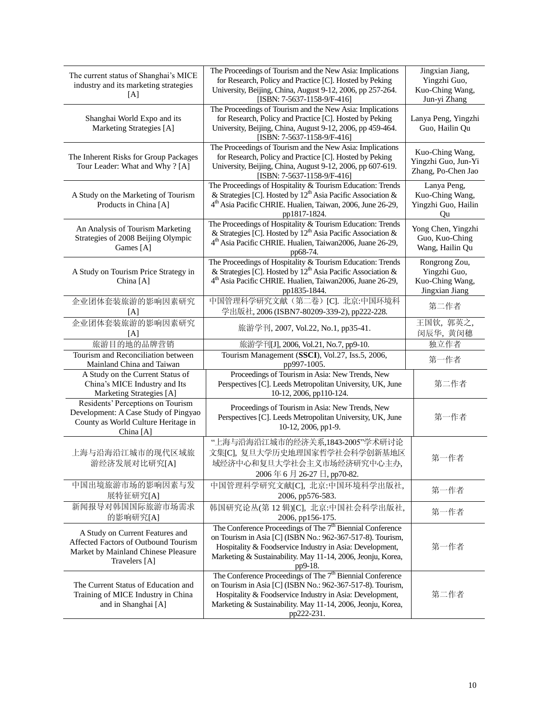| The current status of Shanghai's MICE<br>industry and its marketing strategies<br>[A]                                           | The Proceedings of Tourism and the New Asia: Implications<br>for Research, Policy and Practice [C]. Hosted by Peking<br>University, Beijing, China, August 9-12, 2006, pp 257-264.<br>[ISBN: 7-5637-1158-9/F-416]                                                            | Jingxian Jiang,<br>Yingzhi Guo,<br>Kuo-Ching Wang,<br>Jun-yi Zhang |
|---------------------------------------------------------------------------------------------------------------------------------|------------------------------------------------------------------------------------------------------------------------------------------------------------------------------------------------------------------------------------------------------------------------------|--------------------------------------------------------------------|
| Shanghai World Expo and its<br>Marketing Strategies [A]                                                                         | The Proceedings of Tourism and the New Asia: Implications<br>for Research, Policy and Practice [C]. Hosted by Peking<br>University, Beijing, China, August 9-12, 2006, pp 459-464.<br>[ISBN: 7-5637-1158-9/F-416]                                                            | Lanya Peng, Yingzhi<br>Guo, Hailin Qu                              |
| The Inherent Risks for Group Packages<br>Tour Leader: What and Why? [A]                                                         | The Proceedings of Tourism and the New Asia: Implications<br>for Research, Policy and Practice [C]. Hosted by Peking<br>University, Beijing, China, August 9-12, 2006, pp 607-619.<br>[ISBN: 7-5637-1158-9/F-416]                                                            | Kuo-Ching Wang,<br>Yingzhi Guo, Jun-Yi<br>Zhang, Po-Chen Jao       |
| A Study on the Marketing of Tourism<br>Products in China [A]                                                                    | The Proceedings of Hospitality & Tourism Education: Trends<br>& Strategies [C]. Hosted by $12^{th}$ Asia Pacific Association &<br>4 <sup>th</sup> Asia Pacific CHRIE. Hualien, Taiwan, 2006, June 26-29,<br>pp1817-1824.                                                     | Lanya Peng,<br>Kuo-Ching Wang,<br>Yingzhi Guo, Hailin<br>Qu        |
| An Analysis of Tourism Marketing<br>Strategies of 2008 Beijing Olympic<br>Games [A]                                             | The Proceedings of Hospitality & Tourism Education: Trends<br>& Strategies [C]. Hosted by 12 <sup>th</sup> Asia Pacific Association &<br>4th Asia Pacific CHRIE. Hualien, Taiwan2006, Juane 26-29,<br>pp68-74.                                                               | Yong Chen, Yingzhi<br>Guo, Kuo-Ching<br>Wang, Hailin Qu            |
| A Study on Tourism Price Strategy in<br>China [A]                                                                               | The Proceedings of Hospitality & Tourism Education: Trends<br>& Strategies [C]. Hosted by 12 <sup>th</sup> Asia Pacific Association &<br>4 <sup>th</sup> Asia Pacific CHRIE. Hualien, Taiwan2006, Juane 26-29,<br>pp1835-1844.                                               | Rongrong Zou,<br>Yingzhi Guo,<br>Kuo-Ching Wang,<br>Jingxian Jiang |
| 企业团体套装旅游的影响因素研究<br>[A]                                                                                                          | 中国管理科学研究文献(第二卷) [C]. 北京:中国环境科<br>学出版社, 2006 (ISBN7-80209-339-2), pp222-228.                                                                                                                                                                                                  | 第二作者                                                               |
| 企业团体套装旅游的影响因素研究<br>[A]                                                                                                          | 旅游学刊, 2007, Vol.22, No.1, pp35-41.                                                                                                                                                                                                                                           | 王国钦, 郭英之,<br>闵辰华, 黄闵穗                                              |
| 旅游目的地的品牌营销                                                                                                                      | 旅游学刊[J], 2006, Vol.21, No.7, pp9-10.                                                                                                                                                                                                                                         | 独立作者                                                               |
| Tourism and Reconciliation between<br>Mainland China and Taiwan                                                                 | Tourism Management (SSCI), Vol.27, Iss.5, 2006,<br>pp997-1005.                                                                                                                                                                                                               | 第一作者                                                               |
| A Study on the Current Status of<br>China's MICE Industry and Its<br>Marketing Strategies [A]                                   | Proceedings of Tourism in Asia: New Trends, New<br>Perspectives [C]. Leeds Metropolitan University, UK, June<br>10-12, 2006, pp110-124.                                                                                                                                      | 第二作者                                                               |
| Residents' Perceptions on Tourism<br>Development: A Case Study of Pingyao<br>County as World Culture Heritage in<br>China [A]   | Proceedings of Tourism in Asia: New Trends, New<br>Perspectives [C]. Leeds Metropolitan University, UK, June<br>10-12, 2006, pp1-9.                                                                                                                                          | 第一作者                                                               |
| 上海与沿海沿江城市的现代区域旅<br>游经济发展对比研究[A]                                                                                                 | "上海与沿海沿江城市的经济关系,1843-2005"学术研讨论<br>文集[C], 复旦大学历史地理国家哲学社会科学创新基地区<br>域经济中心和复旦大学社会主义市场经济研究中心主办,<br>2006年6月26-27日, pp70-82.                                                                                                                                                      | 第一作者                                                               |
| 中国出境旅游市场的影响因素与发<br>展特征研究[A]                                                                                                     | 中国管理科学研究文献[C], 北京:中国环境科学出版社,<br>2006, pp576-583.                                                                                                                                                                                                                             | 第一作者                                                               |
| 新闻报导对韩国国际旅游市场需求<br>的影响研究[A]                                                                                                     | 韩国研究论丛(第12辑)[C], 北京:中国社会科学出版社,<br>2006, pp156-175.                                                                                                                                                                                                                           | 第一作者                                                               |
| A Study on Current Features and<br>Affected Factors of Outbound Tourism<br>Market by Mainland Chinese Pleasure<br>Travelers [A] | The Conference Proceedings of The 7 <sup>th</sup> Biennial Conference<br>on Tourism in Asia [C] (ISBN No.: 962-367-517-8). Tourism,<br>Hospitality & Foodservice Industry in Asia: Development,<br>Marketing & Sustainability. May 11-14, 2006, Jeonju, Korea,<br>pp9-18.    | 第一作者                                                               |
| The Current Status of Education and<br>Training of MICE Industry in China<br>and in Shanghai [A]                                | The Conference Proceedings of The 7 <sup>th</sup> Biennial Conference<br>on Tourism in Asia [C] (ISBN No.: 962-367-517-8). Tourism,<br>Hospitality & Foodservice Industry in Asia: Development,<br>Marketing & Sustainability. May 11-14, 2006, Jeonju, Korea,<br>pp222-231. | 第二作者                                                               |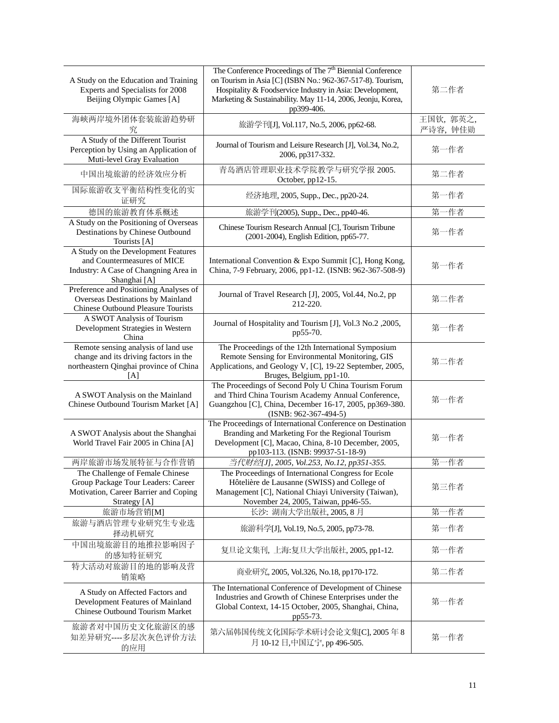| A Study on the Education and Training<br>Experts and Specialists for 2008<br>Beijing Olympic Games [A]                         | The Conference Proceedings of The 7 <sup>th</sup> Biennial Conference<br>on Tourism in Asia [C] (ISBN No.: 962-367-517-8). Tourism,<br>Hospitality & Foodservice Industry in Asia: Development,<br>Marketing & Sustainability. May 11-14, 2006, Jeonju, Korea,<br>pp399-406. | 第二作者                  |
|--------------------------------------------------------------------------------------------------------------------------------|------------------------------------------------------------------------------------------------------------------------------------------------------------------------------------------------------------------------------------------------------------------------------|-----------------------|
| 海峡两岸境外团体套装旅游趋势研<br>究                                                                                                           | 旅游学刊[J], Vol.117, No.5, 2006, pp62-68.                                                                                                                                                                                                                                       | 王国钦, 郭英之,<br>严诗容, 钟佳勋 |
| A Study of the Different Tourist<br>Perception by Using an Application of<br>Muti-level Gray Evaluation                        | Journal of Tourism and Leisure Research [J], Vol.34, No.2,<br>2006, pp317-332.                                                                                                                                                                                               | 第一作者                  |
| 中国出境旅游的经济效应分析                                                                                                                  | 青岛酒店管理职业技术学院教学与研究学报 2005.<br>October, pp12-15.                                                                                                                                                                                                                               | 第二作者                  |
| 国际旅游收支平衡结构性变化的实<br>证研究                                                                                                         | 经济地理, 2005, Supp., Dec., pp20-24.                                                                                                                                                                                                                                            | 第一作者                  |
| 德国的旅游教育体系概述                                                                                                                    | 旅游学刊(2005), Supp., Dec., pp40-46.                                                                                                                                                                                                                                            | 第<br>作者               |
| A Study on the Positioning of Overseas<br>Destinations by Chinese Outbound<br>Tourists [A]                                     | Chinese Tourism Research Annual [C], Tourism Tribune<br>(2001-2004), English Edition, pp65-77.                                                                                                                                                                               | 第一作者                  |
| A Study on the Development Features<br>and Countermeasures of MICE<br>Industry: A Case of Changning Area in<br>Shanghai [A]    | International Convention & Expo Summit [C], Hong Kong,<br>China, 7-9 February, 2006, pp1-12. (ISNB: 962-367-508-9)                                                                                                                                                           | 第一作者                  |
| Preference and Positioning Analyses of<br>Overseas Destinations by Mainland<br><b>Chinese Outbound Pleasure Tourists</b>       | Journal of Travel Research [J], 2005, Vol.44, No.2, pp<br>212-220.                                                                                                                                                                                                           | 第二作者                  |
| A SWOT Analysis of Tourism<br>Development Strategies in Western<br>China                                                       | Journal of Hospitality and Tourism [J], Vol.3 No.2 , 2005,<br>pp55-70.                                                                                                                                                                                                       | 第一作者                  |
| Remote sensing analysis of land use<br>change and its driving factors in the<br>northeastern Qinghai province of China<br>[A]  | The Proceedings of the 12th International Symposium<br>Remote Sensing for Environmental Monitoring, GIS<br>Applications, and Geology V, [C], 19-22 September, 2005,<br>Bruges, Belgium, pp1-10.                                                                              | 第二作者                  |
| A SWOT Analysis on the Mainland<br>Chinese Outbound Tourism Market [A]                                                         | The Proceedings of Second Poly U China Tourism Forum<br>and Third China Tourism Academy Annual Conference,<br>Guangzhou [C], China, December 16-17, 2005, pp369-380.<br>$(ISNB: 962-367-494-5)$                                                                              | 第一作者                  |
| A SWOT Analysis about the Shanghai<br>World Travel Fair 2005 in China [A]                                                      | The Proceedings of International Conference on Destination<br>Branding and Marketing For the Regional Tourism<br>Development [C], Macao, China, 8-10 December, 2005,<br>pp103-113. (ISNB: 99937-51-18-9)                                                                     | 第一作者                  |
| 两岸旅游市场发展特征与合作营销                                                                                                                | 当代财经[J], 2005, Vol.253, No.12, pp351-355.                                                                                                                                                                                                                                    | 第<br>作者               |
| The Challenge of Female Chinese<br>Group Package Tour Leaders: Career<br>Motivation, Career Barrier and Coping<br>Strategy [A] | The Proceedings of International Congress for Ecole<br>Hôteli ère de Lausanne (SWISS) and College of<br>Management [C], National Chiayi University (Taiwan),<br>November 24, 2005, Taiwan, pp46-55.                                                                          | 第三作者                  |
| 旅游市场营销[M]                                                                                                                      | 长沙: 湖南大学出版社, 2005, 8月                                                                                                                                                                                                                                                        | 第<br>作者               |
| 旅游与酒店管理专业研究生专业选<br>择动机研究                                                                                                       | 旅游科学[J], Vol.19, No.5, 2005, pp73-78.                                                                                                                                                                                                                                        | 第一作者                  |
| 中国出境旅游目的地推拉影响因子<br>的感知特征研究                                                                                                     | 复旦论文集刊, 上海:复旦大学出版社, 2005, pp1-12.                                                                                                                                                                                                                                            | 第一作者                  |
| 特大活动对旅游目的地的影响及营<br>销策略                                                                                                         | 商业研究, 2005, Vol.326, No.18, pp170-172.                                                                                                                                                                                                                                       | 第二作者                  |
| A Study on Affected Factors and<br>Development Features of Mainland<br>Chinese Outbound Tourism Market                         | The International Conference of Development of Chinese<br>Industries and Growth of Chinese Enterprises under the<br>Global Context, 14-15 October, 2005, Shanghai, China,<br>pp55-73.                                                                                        | 第一作者                  |
| 旅游者对中国历史文化旅游区的感<br>知差异研究----多层次灰色评价方法<br>的应用                                                                                   | 第六届韩国传统文化国际学术研讨会论文集[C], 2005年8<br>月 10-12 日,中国辽宁, pp 496-505.                                                                                                                                                                                                                | 第一作者                  |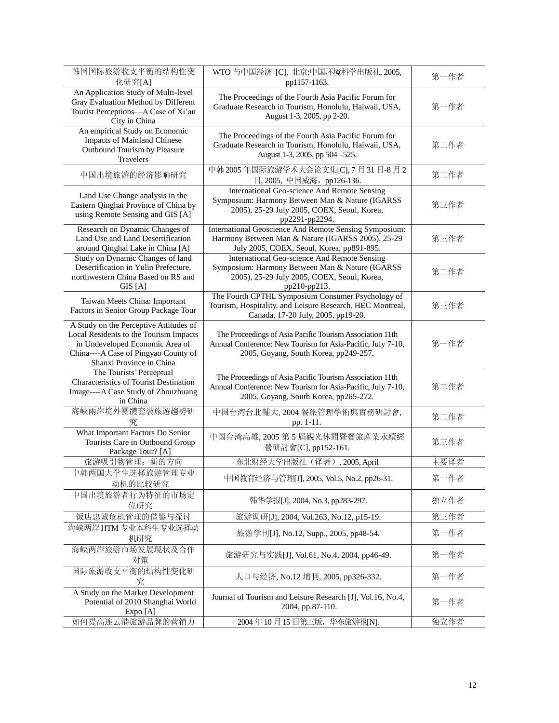| 韩国国际旅游收支平衡的结构性变<br>化研究[A]                                                                                                                                                               | WTO 与中国经济 [C], 北京:中国环境科学出版社, 2005,<br>pp1157-1163.                                                                                                               | 第一作者 |
|-----------------------------------------------------------------------------------------------------------------------------------------------------------------------------------------|------------------------------------------------------------------------------------------------------------------------------------------------------------------|------|
| An Application Study of Multi-level<br>Gray Evaluation Method by Different<br>Tourist Perceptions-A Case of Xi'an<br>City in China                                                      | The Proceedings of the Fourth Asia Pacific Forum for<br>Graduate Research in Tourism, Honolulu, Haiwaii, USA,<br>August 1-3, 2005, pp 2-20.                      | 第一作者 |
| An empirical Study on Economic<br><b>Impacts of Mainland Chinese</b><br>Outbound Tourism by Pleasure<br>Travelers                                                                       | The Proceedings of the Fourth Asia Pacific Forum for<br>Graduate Research in Tourism, Honolulu, Haiwaii, USA,<br>August 1-3, 2005, pp 504 -525.                  | 第二作者 |
| 中国出境旅游的经济影响研究                                                                                                                                                                           | 中韩 2005年国际旅游学术大会论文集[C], 7 月 31 日-8 月 2<br>日, 2005, 中国威海, pp126-136.                                                                                              | 第二作者 |
| Land Use Change analysis in the<br>Eastern Qinghai Province of China by<br>using Remote Sensing and GIS [A]                                                                             | International Geo-science And Remote Sensing<br>Symposium: Harmony Between Man & Nature (IGARSS<br>2005), 25-29 July 2005, COEX, Seoul, Korea,<br>pp2291-pp2294. | 第三作者 |
| Research on Dynamic Changes of<br>Land Use and Land Desertification<br>around Qinghai Lake in China [A]                                                                                 | International Geoscience And Remote Sensing Symposium:<br>Harmony Between Man & Nature (IGARSS 2005), 25-29<br>July 2005, COEX, Seoul, Korea, pp891-895.         | 第三作者 |
| Study on Dynamic Changes of land<br>Desertification in Yulin Prefecture,<br>northwestern China Based on RS and<br>GIS[A]                                                                | International Geo-science And Remote Sensing<br>Symposium: Harmony Between Man & Nature (IGARSS<br>2005), 25-29 July 2005, COEX, Seoul, Korea,<br>pp210-pp213.   | 第二作者 |
| Taiwan Meets China: Important<br>Factors in Senior Group Package Tour                                                                                                                   | The Fourth CPTHL Symposium Consumer Psychology of<br>Tourism, Hospitality, and Leisure Research, HEC Montreal,<br>Canada, 17-20 July, 2005, pp19-20.             | 第三作者 |
| A Study on the Perceptive Attitudes of<br>Local Residents to the Tourism Impacts<br>in Undeveloped Economic Area of<br>China----A Case of Pingyao County of<br>Shanxi Province in China | The Proceedings of Asia Pacific Tourism Association 11th<br>Annual Conference: New Tourism for Asia-Pacific, July 7-10,<br>2005, Goyang, South Korea, pp249-257. | 第一作者 |
| The Tourists' Perceptual<br>Characteristics of Tourist Destination<br>Image----A Case Study of Zhouzhuang<br>in China                                                                   | The Proceedings of Asia Pacific Tourism Association 11th<br>Annual Conference: New Tourism for Asia-Pacific, July 7-10,<br>2005, Goyang, South Korea, pp265-272. | 第二作者 |
| 海峽兩岸境外團體套裝旅遊趨勢研<br>究                                                                                                                                                                    | 中国台湾台北輔大, 2004 餐旅管理學術與實務研討會,<br>pp. 1-11.                                                                                                                        | 第二作者 |
| What Important Factors Do Senior<br>Tourists Care in Outbound Group<br>Package Tour? [A]                                                                                                | 中国台湾高雄, 2005 第5 屆觀光休閒暨餐旅產業永續經<br>營研討會[C], pp152-161.                                                                                                             | 第三作者 |
| 旅游吸引物管理: 新的方向                                                                                                                                                                           | 东北财经大学出版社(译著), 2005, April                                                                                                                                       | 主要译者 |
| 中韩两国大学生选择旅游管理专业<br>动机的比较研究                                                                                                                                                              | 中国教育经济与管理[J], 2005, Vol.5, No.2, pp26-31.                                                                                                                        | 第一作者 |
| 中国出境旅游者行为特征的市场定<br>位研究                                                                                                                                                                  | 韩华学报[J], 2004, No.3, pp283-297.                                                                                                                                  | 独立作者 |
| 饭店忠诚危机管理的借鉴与探讨                                                                                                                                                                          | 旅游调研[J], 2004, Vol.263, No.12, p15-19.                                                                                                                           | 第三作者 |
| 海峡两岸 HTM 专业本科生专业选择动<br>机研究                                                                                                                                                              | 旅游学刊[J], No.12, Supp., 2005, pp48-54.                                                                                                                            | 第一作者 |
| 海峡两岸旅游市场发展现状及合作<br>对策                                                                                                                                                                   | 旅游研究与实践[J], Vol.61, No.4, 2004, pp46-49.                                                                                                                         | 第一作者 |
| 国际旅游收支平衡的结构性变化研<br>究                                                                                                                                                                    | 人口与经济, No.12 增刊, 2005, pp326-332.                                                                                                                                | 第一作者 |
| A Study on the Market Development<br>Potential of 2010 Shanghai World<br>Expo [A]                                                                                                       | Journal of Tourism and Leisure Research [J], Vol.16, No.4,<br>2004, pp.87-110.                                                                                   | 第一作者 |
| 如何提高连云港旅游品牌的营销力                                                                                                                                                                         | 2004年10月15日第三版, 华东旅游报[N].                                                                                                                                        | 独立作者 |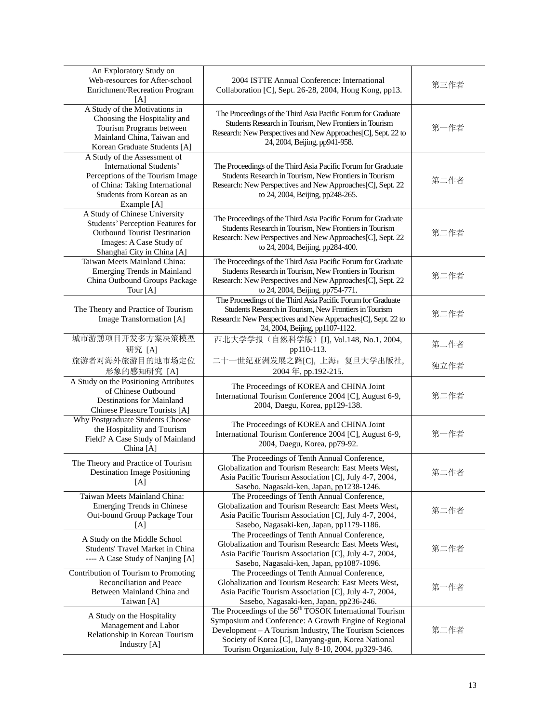| An Exploratory Study on<br>Web-resources for After-school<br>Enrichment/Recreation Program<br>[A]                                                                          | 2004 ISTTE Annual Conference: International<br>Collaboration [C], Sept. 26-28, 2004, Hong Kong, pp13.                                                                                                                                                                                            | 第三作者 |
|----------------------------------------------------------------------------------------------------------------------------------------------------------------------------|--------------------------------------------------------------------------------------------------------------------------------------------------------------------------------------------------------------------------------------------------------------------------------------------------|------|
| A Study of the Motivations in<br>Choosing the Hospitality and<br>Tourism Programs between<br>Mainland China, Taiwan and<br>Korean Graduate Students [A]                    | The Proceedings of the Third Asia Pacific Forum for Graduate<br>Students Research in Tourism, New Frontiers in Tourism<br>Research: New Perspectives and New Approaches[C], Sept. 22 to<br>24, 2004, Beijing, pp941-958.                                                                         | 第一作者 |
| A Study of the Assessment of<br>International Students'<br>Perceptions of the Tourism Image<br>of China: Taking International<br>Students from Korean as an<br>Example [A] | The Proceedings of the Third Asia Pacific Forum for Graduate<br>Students Research in Tourism, New Frontiers in Tourism<br>Research: New Perspectives and New Approaches[C], Sept. 22<br>to 24, 2004, Beijing, pp248-265.                                                                         | 第二作者 |
| A Study of Chinese University<br><b>Students' Perception Features for</b><br><b>Outbound Tourist Destination</b><br>Images: A Case Study of<br>Shanghai City in China [A]  | The Proceedings of the Third Asia Pacific Forum for Graduate<br>Students Research in Tourism, New Frontiers in Tourism<br>Research: New Perspectives and New Approaches[C], Sept. 22<br>to 24, 2004, Beijing, pp284-400.                                                                         | 第二作者 |
| Taiwan Meets Mainland China:<br><b>Emerging Trends in Mainland</b><br>China Outbound Groups Package<br>Tour [A]                                                            | The Proceedings of the Third Asia Pacific Forum for Graduate<br>Students Research in Tourism, New Frontiers in Tourism<br>Research: New Perspectives and New Approaches[C], Sept. 22<br>to 24, 2004, Beijing, pp754-771.                                                                         | 第二作者 |
| The Theory and Practice of Tourism<br>Image Transformation [A]                                                                                                             | The Proceedings of the Third Asia Pacific Forum for Graduate<br>Students Research in Tourism, New Frontiers in Tourism<br>Research: New Perspectives and New Approaches[C], Sept. 22 to<br>24, 2004, Beijing, pp1107-1122.                                                                       | 第二作者 |
| 城市游憩项目开发多方案决策模型<br>研究 [A]                                                                                                                                                  | 西北大学学报(自然科学版) [J], Vol.148, No.1, 2004,<br>pp110-113.                                                                                                                                                                                                                                            | 第二作者 |
| 旅游者对海外旅游目的地市场定位<br>形象的感知研究 [A]                                                                                                                                             | 二十一世纪亚洲发展之路[C], 上海: 复旦大学出版社,<br>2004年, pp.192-215.                                                                                                                                                                                                                                               | 独立作者 |
| A Study on the Positioning Attributes<br>of Chinese Outbound<br><b>Destinations for Mainland</b><br>Chinese Pleasure Tourists [A]                                          | The Proceedings of KOREA and CHINA Joint<br>International Tourism Conference 2004 [C], August 6-9,<br>2004, Daegu, Korea, pp129-138.                                                                                                                                                             | 第二作者 |
| Why Postgraduate Students Choose<br>the Hospitality and Tourism<br>Field? A Case Study of Mainland<br>China [A]                                                            | The Proceedings of KOREA and CHINA Joint<br>International Tourism Conference 2004 [C], August 6-9,<br>2004, Daegu, Korea, pp79-92.                                                                                                                                                               | 第一作者 |
| The Theory and Practice of Tourism<br><b>Destination Image Positioning</b><br>[A]                                                                                          | The Proceedings of Tenth Annual Conference,<br>Globalization and Tourism Research: East Meets West,<br>Asia Pacific Tourism Association [C], July 4-7, 2004,<br>Sasebo, Nagasaki-ken, Japan, pp1238-1246.                                                                                        | 第二作者 |
| Taiwan Meets Mainland China:<br>Emerging Trends in Chinese<br>Out-bound Group Package Tour<br>[A]                                                                          | The Proceedings of Tenth Annual Conference,<br>Globalization and Tourism Research: East Meets West,<br>Asia Pacific Tourism Association [C], July 4-7, 2004,<br>Sasebo, Nagasaki-ken, Japan, pp1179-1186.                                                                                        | 第二作者 |
| A Study on the Middle School<br>Students' Travel Market in China<br>---- A Case Study of Nanjing [A]                                                                       | The Proceedings of Tenth Annual Conference,<br>Globalization and Tourism Research: East Meets West,<br>Asia Pacific Tourism Association [C], July 4-7, 2004,<br>Sasebo, Nagasaki-ken, Japan, pp1087-1096.                                                                                        | 第二作者 |
| Contribution of Tourism to Promoting<br>Reconciliation and Peace<br>Between Mainland China and<br>Taiwan [A]                                                               | The Proceedings of Tenth Annual Conference,<br>Globalization and Tourism Research: East Meets West,<br>Asia Pacific Tourism Association [C], July 4-7, 2004,<br>Sasebo, Nagasaki-ken, Japan, pp236-246.                                                                                          | 第一作者 |
| A Study on the Hospitality<br>Management and Labor<br>Relationship in Korean Tourism<br>Industry [A]                                                                       | The Proceedings of the 56 <sup>th</sup> TOSOK International Tourism<br>Symposium and Conference: A Growth Engine of Regional<br>Development - A Tourism Industry, The Tourism Sciences<br>Society of Korea [C], Danyang-gun, Korea National<br>Tourism Organization, July 8-10, 2004, pp329-346. | 第二作者 |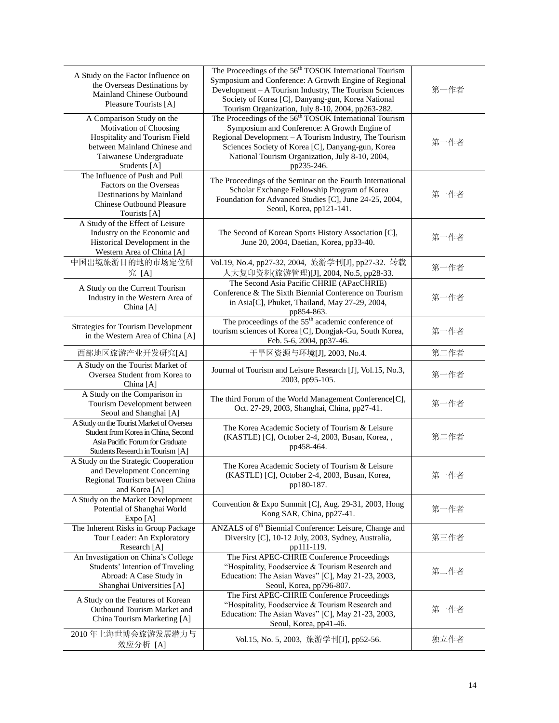| A Study on the Factor Influence on<br>the Overseas Destinations by<br>Mainland Chinese Outbound<br>Pleasure Tourists [A]                                        | The Proceedings of the 56 <sup>th</sup> TOSOK International Tourism<br>Symposium and Conference: A Growth Engine of Regional<br>Development - A Tourism Industry, The Tourism Sciences<br>Society of Korea [C], Danyang-gun, Korea National<br>Tourism Organization, July 8-10, 2004, pp263-282.    | 第一作者 |
|-----------------------------------------------------------------------------------------------------------------------------------------------------------------|-----------------------------------------------------------------------------------------------------------------------------------------------------------------------------------------------------------------------------------------------------------------------------------------------------|------|
| A Comparison Study on the<br>Motivation of Choosing<br>Hospitality and Tourism Field<br>between Mainland Chinese and<br>Taiwanese Undergraduate<br>Students [A] | The Proceedings of the 56 <sup>th</sup> TOSOK International Tourism<br>Symposium and Conference: A Growth Engine of<br>Regional Development - A Tourism Industry, The Tourism<br>Sciences Society of Korea [C], Danyang-gun, Korea<br>National Tourism Organization, July 8-10, 2004,<br>pp235-246. | 第一作者 |
| The Influence of Push and Pull<br>Factors on the Overseas<br>Destinations by Mainland<br><b>Chinese Outbound Pleasure</b><br>Tourists [A]                       | The Proceedings of the Seminar on the Fourth International<br>Scholar Exchange Fellowship Program of Korea<br>Foundation for Advanced Studies [C], June 24-25, 2004,<br>Seoul, Korea, pp121-141.                                                                                                    | 第一作者 |
| A Study of the Effect of Leisure<br>Industry on the Economic and<br>Historical Development in the<br>Western Area of China [A]                                  | The Second of Korean Sports History Association [C],<br>June 20, 2004, Daetian, Korea, pp33-40.                                                                                                                                                                                                     | 第一作者 |
| 中国出境旅游目的地的市场定位研<br>究 [A]                                                                                                                                        | Vol.19, No.4, pp27-32, 2004, 旅游学刊[J], pp27-32. 转载<br>人大复印资料(旅游管理)[J], 2004, No.5, pp28-33.                                                                                                                                                                                                          | 第一作者 |
| A Study on the Current Tourism<br>Industry in the Western Area of<br>China [A]                                                                                  | The Second Asia Pacific CHRIE (APacCHRIE)<br>Conference & The Sixth Biennial Conference on Tourism<br>in Asia[C], Phuket, Thailand, May 27-29, 2004,<br>pp854-863.                                                                                                                                  | 第一作者 |
| <b>Strategies for Tourism Development</b><br>in the Western Area of China [A]                                                                                   | The proceedings of the 55 <sup>th</sup> academic conference of<br>tourism sciences of Korea [C], Dongjak-Gu, South Korea,<br>Feb. 5-6, 2004, pp37-46.                                                                                                                                               | 第一作者 |
| 西部地区旅游产业开发研究[A]                                                                                                                                                 | 干旱区资源与环境[J], 2003, No.4.                                                                                                                                                                                                                                                                            | 第二作者 |
| A Study on the Tourist Market of<br>Oversea Student from Korea to<br>China [A]                                                                                  | Journal of Tourism and Leisure Research [J], Vol.15, No.3,<br>2003, pp95-105.                                                                                                                                                                                                                       | 第一作者 |
| A Study on the Comparison in<br>Tourism Development between<br>Seoul and Shanghai [A]                                                                           | The third Forum of the World Management Conference[C],<br>Oct. 27-29, 2003, Shanghai, China, pp27-41.                                                                                                                                                                                               | 第一作者 |
| A Study on the Tourist Market of Oversea<br>Student from Korea in China, Second<br>Asia Pacific Forum for Graduate<br>Students Research in Tourism [A]          | The Korea Academic Society of Tourism & Leisure<br>(KASTLE) [C], October 2-4, 2003, Busan, Korea,,<br>pp458-464.                                                                                                                                                                                    | 第二作者 |
| A Study on the Strategic Cooperation<br>and Development Concerning<br>Regional Tourism between China<br>and Korea [A]                                           | The Korea Academic Society of Tourism & Leisure<br>(KASTLE) [C], October 2-4, 2003, Busan, Korea,<br>pp180-187.                                                                                                                                                                                     | 第一作者 |
| A Study on the Market Development<br>Potential of Shanghai World<br>Expo [A]                                                                                    | Convention & Expo Summit [C], Aug. 29-31, 2003, Hong<br>Kong SAR, China, pp27-41.                                                                                                                                                                                                                   | 第一作者 |
| The Inherent Risks in Group Package<br>Tour Leader: An Exploratory<br>Research [A]                                                                              | ANZALS of 6 <sup>th</sup> Biennial Conference: Leisure, Change and<br>Diversity [C], 10-12 July, 2003, Sydney, Australia,<br>pp111-119.                                                                                                                                                             | 第三作者 |
| An Investigation on China's College<br>Students' Intention of Traveling<br>Abroad: A Case Study in<br>Shanghai Universities [A]                                 | The First APEC-CHRIE Conference Proceedings<br>"Hospitality, Foodservice & Tourism Research and<br>Education: The Asian Waves" [C], May 21-23, 2003,<br>Seoul, Korea, pp796-807.                                                                                                                    | 第二作者 |
| A Study on the Features of Korean<br>Outbound Tourism Market and<br>China Tourism Marketing [A]                                                                 | The First APEC-CHRIE Conference Proceedings<br>"Hospitality, Foodservice & Tourism Research and<br>Education: The Asian Waves" [C], May 21-23, 2003,<br>Seoul, Korea, pp41-46.                                                                                                                      | 第一作者 |
| 2010年上海世博会旅游发展潜力与<br>效应分析 [A]                                                                                                                                   | Vol.15, No. 5, 2003, 旅游学刊[J], pp52-56.                                                                                                                                                                                                                                                              | 独立作者 |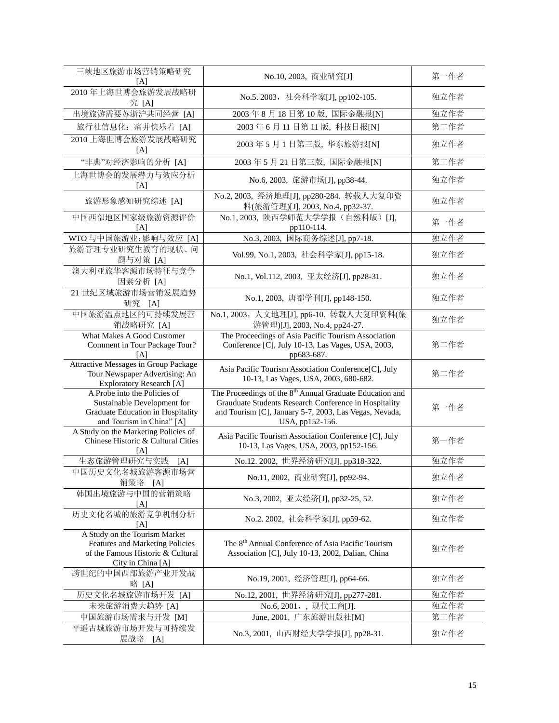| 三峡地区旅游市场营销策略研究<br>[A]                                                                                                         | No.10, 2003, 商业研究[J]                                                                                                                                                                                       | 第一作者 |
|-------------------------------------------------------------------------------------------------------------------------------|------------------------------------------------------------------------------------------------------------------------------------------------------------------------------------------------------------|------|
| 2010年上海世博会旅游发展战略研<br>究 [A]                                                                                                    | No.5. 2003, 社会科学家[J], pp102-105.                                                                                                                                                                           | 独立作者 |
| 出境旅游需要苏浙沪共同经营 [A]                                                                                                             | 2003年8月18日第10版,国际金融报[N]                                                                                                                                                                                    | 独立作者 |
| 旅行社信息化: 痛并快乐着 [A]                                                                                                             | 2003年6月11日第11版, 科技日报[N]                                                                                                                                                                                    | 第二作者 |
| 2010上海世博会旅游发展战略研究<br>[A]                                                                                                      | 2003年5月1日第三版, 华东旅游报[N]                                                                                                                                                                                     | 独立作者 |
| "非典"对经济影响的分析 [A]                                                                                                              | 2003年5月21日第三版,国际金融报[N]                                                                                                                                                                                     | 第二作者 |
| 上海世博会的发展潜力与效应分析<br>[A]                                                                                                        | No.6, 2003, 旅游市场[J], pp38-44.                                                                                                                                                                              | 独立作者 |
| 旅游形象感知研究综述 [A]                                                                                                                | No.2, 2003, 经济地理[J], pp280-284. 转载人大复印资<br>料(旅游管理)[J], 2003, No.4, pp32-37.                                                                                                                                | 独立作者 |
| 中国西部地区国家级旅游资源评价<br>[A]                                                                                                        | No.1, 2003, 陕西学师范大学学报(自然科版) [J],<br>pp110-114.                                                                                                                                                             | 第一作者 |
| WTO 与中国旅游业:影响与效应 [A]                                                                                                          | No.3, 2003, 国际商务综述[J], pp7-18.                                                                                                                                                                             | 独立作者 |
| 旅游管理专业研究生教育的现状、问<br>题与对策 [A]                                                                                                  | Vol.99, No.1, 2003, 社会科学家[J], pp15-18.                                                                                                                                                                     | 独立作者 |
| 澳大利亚旅华客源市场特征与竞争<br>因素分析 [A]                                                                                                   | No.1, Vol.112, 2003, 亚太经济[J], pp28-31.                                                                                                                                                                     | 独立作者 |
| 21 世纪区域旅游市场营销发展趋势<br>研究 [A]                                                                                                   | No.1, 2003, 唐都学刊[J], pp148-150.                                                                                                                                                                            | 独立作者 |
| 中国旅游温点地区的可持续发展营<br>销战略研究 [A]                                                                                                  | No.1, 2003, 人文地理[J], pp6-10. 转载人大复印资料(旅<br>游管理)[J], 2003, No.4, pp24-27.                                                                                                                                   | 独立作者 |
| What Makes A Good Customer<br>Comment in Tour Package Tour?<br>[A]                                                            | The Proceedings of Asia Pacific Tourism Association<br>Conference [C], July 10-13, Las Vages, USA, 2003,<br>pp683-687.                                                                                     | 第二作者 |
| Attractive Messages in Group Package<br>Tour Newspaper Advertising: An<br><b>Exploratory Research [A]</b>                     | Asia Pacific Tourism Association Conference[C], July<br>10-13, Las Vages, USA, 2003, 680-682.                                                                                                              | 第二作者 |
| A Probe into the Policies of<br>Sustainable Development for<br>Graduate Education in Hospitality<br>and Tourism in China" [A] | The Proceedings of the 8 <sup>th</sup> Annual Graduate Education and<br>Grauduate Students Research Conference in Hospitality<br>and Tourism [C], January 5-7, 2003, Las Vegas, Nevada,<br>USA, pp152-156. | 第一作者 |
| A Study on the Marketing Policies of<br>Chinese Historic & Cultural Cities<br>[A]                                             | Asia Pacific Tourism Association Conference [C], July<br>10-13, Las Vages, USA, 2003, pp152-156.                                                                                                           | 第一作者 |
| 生态旅游管理研究与实践<br>[A]                                                                                                            | No.12. 2002, 世界经济研究[J], pp318-322.                                                                                                                                                                         | 独立作者 |
| 中国历史文化名城旅游客源市场营<br>销策略<br>[A]                                                                                                 | No.11, 2002, 商业研究[J], pp92-94.                                                                                                                                                                             | 独立作者 |
| 韩国出境旅游与中国的营销策略<br>[A]                                                                                                         | No.3, 2002, 亚太经济[J], pp32-25, 52.                                                                                                                                                                          | 独立作者 |
| 历史文化名城的旅游竞争机制分析<br>[A]                                                                                                        | No.2. 2002, 社会科学家[J], pp59-62.                                                                                                                                                                             | 独立作者 |
| A Study on the Tourism Market<br>Features and Marketing Policies<br>of the Famous Historic & Cultural<br>City in China [A]    | The 8 <sup>th</sup> Annual Conference of Asia Pacific Tourism<br>Association [C], July 10-13, 2002, Dalian, China                                                                                          | 独立作者 |
| 跨世纪的中国西部旅游产业开发战<br>略 [A]                                                                                                      | No.19, 2001, 经济管理[J], pp64-66.                                                                                                                                                                             | 独立作者 |
| 历史文化名城旅游市场开发 [A]                                                                                                              | No.12, 2001, 世界经济研究[J], pp277-281.                                                                                                                                                                         | 独立作者 |
| 未来旅游消费大趋势 [A]                                                                                                                 | No.6, 2001, , 现代工商[J].                                                                                                                                                                                     | 独立作者 |
| 中国旅游市场需求与开发 [M]                                                                                                               | June, 2001, 广东旅游出版社[M]                                                                                                                                                                                     | 第二作者 |
| 平遥古城旅游市场开发与可持续发<br>展战略 [A]                                                                                                    | No.3, 2001, 山西财经大学学报[J], pp28-31.                                                                                                                                                                          | 独立作者 |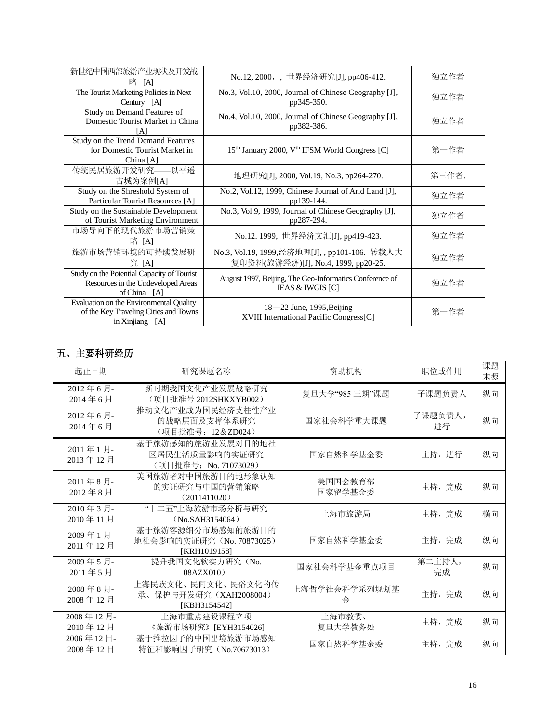| 新世纪中国西部旅游产业现状及开发战<br>略<br>[A]                                                                       | No.12, 2000, , 世界经济研究[J], pp406-412.                                                   | 独立作者  |
|-----------------------------------------------------------------------------------------------------|----------------------------------------------------------------------------------------|-------|
| The Tourist Marketing Policies in Next<br>Century [A]                                               | No.3, Vol.10, 2000, Journal of Chinese Geography [J],<br>pp345-350.                    | 独立作者  |
| Study on Demand Features of<br>Domestic Tourist Market in China<br>[A]                              | No.4, Vol.10, 2000, Journal of Chinese Geography [J],<br>pp382-386.                    | 独立作者  |
| Study on the Trend Demand Features<br>for Domestic Tourist Market in<br>China $[A]$                 | 15 <sup>th</sup> January 2000, V <sup>th</sup> IFSM World Congress [C]                 | 第一作者  |
| 传统民居旅游开发研究——以平遥<br>古城为案例[A]                                                                         | 地理研究[J], 2000, Vol.19, No.3, pp264-270.                                                | 第三作者. |
| Study on the Shreshold System of<br>Particular Tourist Resources [A]                                | No.2, Vol.12, 1999, Chinese Journal of Arid Land [J],<br>pp139-144.                    | 独立作者  |
| Study on the Sustainable Development<br>of Tourist Marketing Environment                            | No.3, Vol.9, 1999, Journal of Chinese Geography [J],<br>pp287-294.                     | 独立作者  |
| 市场导向下的现代旅游市场营销策<br>略 [A]                                                                            | No.12. 1999, 世界经济文汇[J], pp419-423.                                                     | 独立作者  |
| 旅游市场营销环境的可持续发展研<br>究 [A]                                                                            | No.3, Vol.19, 1999,经济地理[J],, pp101-106. 转载人大<br>复印资料(旅游经济)[J], No.4, 1999, pp20-25.    | 独立作者  |
| Study on the Potential Capacity of Tourist<br>Resources in the Undeveloped Areas<br>of China [A]    | August 1997, Beijing, The Geo-Informatics Conference of<br><b>IEAS &amp; IWGIS</b> [C] | 独立作者  |
| Evaluation on the Environmental Quality<br>of the Key Traveling Cities and Towns<br>in Xinjiang [A] | $18 - 22$ June, 1995, Beijing<br>XVIII International Pacific Congress[C]               | 第一作者  |

### 五、主要科研经历

| 起止日期                 | 研究课题名称                                                         | 资助机构               | 职位或作用         | 课题<br>来源 |
|----------------------|----------------------------------------------------------------|--------------------|---------------|----------|
| 2012年6月<br>2014年6月   | 新时期我国文化产业发展战略研究<br>(项目批准号 2012SHKXYB002)                       | 复旦大学"985 三期"课题     | 子课题负责人        | 纵向       |
| 2012年6月<br>2014年6月   | 推动文化产业成为国民经济支柱性产业<br>的战略层面及支撑体系研究<br>(项目批准号: 12&ZD024)         | 国家社会科学重大课题         | 子课题负责人,<br>讲行 | 纵向       |
| 2011年1月<br>2013年12月  | 基于旅游感知的旅游业发展对目的地社<br>区居民生活质量影响的实证研究<br>(项目批准号: No. 71073029)   | 国家自然科学基金委          | 主持, 进行        | 纵向       |
| 2011年8月<br>2012年8月   | 美国旅游者对中国旅游目的地形象认知<br>的实证研究与中国的营销策略<br>(2011411020)             | 美国国会教育部<br>国家留学基金委 | 主持, 完成        | 纵向       |
| 2010年3月<br>2010年11月  | "十二五"上海旅游市场分析与研究<br>(No.SAH3154064)                            | 上海市旅游局             | 主持, 完成        | 横向       |
| 2009年1月<br>2011年12月  | 基于旅游客源细分市场感知的旅游目的<br>地社会影响的实证研究 (No. 70873025)<br>[KRH1019158] | 国家自然科学基金委          | 主持,完成         | 纵向       |
| 2009年5月<br>2011年5月   | 提升我国文化软实力研究(No.<br>08AZX010                                    | 国家社会科学基金重点项目       | 第二主持人,<br>完成  | 纵向       |
| 2008年8月<br>2008年12月  | 上海民族文化、民间文化、民俗文化的传<br>承、保护与开发研究 (XAH2008004)<br>[KBH3154542]   | 上海哲学社会科学系列规划基<br>金 | 主持, 完成        | 纵向       |
| 2008年12月<br>2010年12月 | 上海市重点建设课程立项<br>《旅游市场研究》[EYH3154026]                            | 上海市教委、<br>复旦大学教务处  | 主持, 完成        | 纵向       |
| 2006年12日<br>2008年12日 | 基于推拉因子的中国出境旅游市场感知<br>特征和影响因子研究 (No.70673013)                   | 国家自然科学基金委          | 主持, 完成        | 纵向       |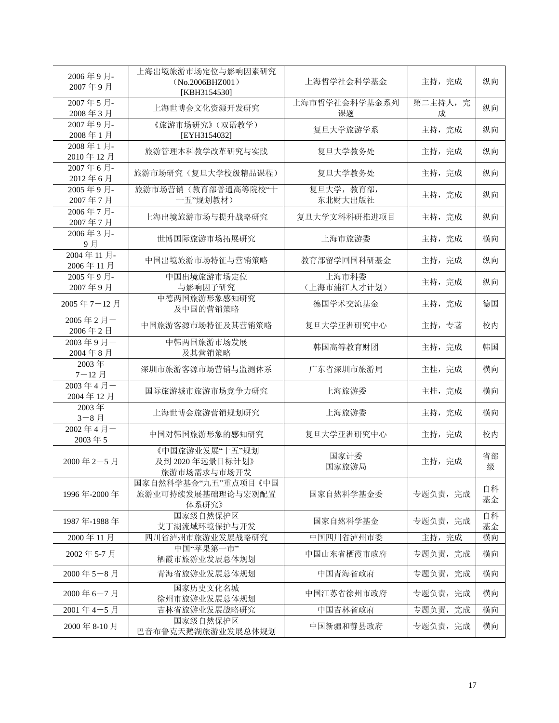| 2006年9月<br>2007年9月   | 上海出境旅游市场定位与影响因素研究<br>(No.2006BHZ001)<br>[KBH3154530] | 主持, 完成<br>上海哲学社会科学基金 |               | 纵向       |
|----------------------|------------------------------------------------------|----------------------|---------------|----------|
| 2007年5月<br>2008年3月   | 上海世博会文化资源开发研究                                        | 上海市哲学社会科学基金系列<br>课题  | 第二主持人, 完<br>成 | 纵向       |
| 2007年9月<br>2008年1月   | 《旅游市场研究》(双语教学)<br>[EYH3154032]                       | 复旦大学旅游学系             | 主持, 完成        | 纵向       |
| 2008年1月<br>2010年12月  | 旅游管理本科教学改革研究与实践                                      | 复旦大学教务处              | 主持, 完成        | 纵向       |
| 2007年6月<br>2012年6月   | 旅游市场研究(复旦大学校级精品课程)                                   | 复旦大学教务处              | 主持, 完成        | 纵向       |
| 2005年9月<br>2007年7月   | 旅游市场营销(教育部普通高等院校"十<br>一五"规划教材)                       | 复旦大学,教育部,<br>东北财大出版社 | 主持, 完成        | 纵向       |
| 2006年7月<br>2007年7月   | 上海出境旅游市场与提升战略研究                                      | 复旦大学文科科研推进项目         | 主持, 完成        | 纵向       |
| 2006年3月<br>9月        | 世博国际旅游市场拓展研究                                         | 上海市旅游委               | 主持, 完成        | 横向       |
| 2004年11月<br>2006年11月 | 中国出境旅游市场特征与营销策略                                      | 教育部留学回国科研基金          | 主持, 完成        | 纵向       |
| 2005年9月<br>2007年9月   | 中国出境旅游市场定位<br>与影响因子研究                                | 上海市科委<br>(上海市浦江人才计划) | 主持, 完成        | 纵向       |
| 2005年7-12月           | 中德两国旅游形象感知研究<br>及中国的营销策略                             | 德国学术交流基金             | 主持, 完成        | 德国       |
| 2005年2月一<br>2006年2日  | 中国旅游客源市场特征及其营销策略                                     | 复旦大学亚洲研究中心           | 主持,专著         |          |
| 2003年9月一<br>2004年8月  | 中韩两国旅游市场发展<br>及其营销策略                                 | 韩国高等教育财团<br>主持, 完成   |               | 韩国       |
| 2003年<br>7-12月       | 深圳市旅游客源市场营销与监测体系                                     | 广东省深圳市旅游局            | 主挂,完成         | 横向       |
| 2003年4月一<br>2004年12月 | 国际旅游城市旅游市场竞争力研究                                      | 上海旅游委                | 主挂,完成         | 横向       |
| 2003年<br>3-8月        | 上海世博会旅游营销规划研究                                        | 上海旅游委                | 主持, 完成        | 横向       |
| 2002年4月一<br>2003年5   | 中国对韩国旅游形象的感知研究                                       | 复旦大学亚洲研究中心           | 主持, 完成        | 校内       |
| 2000年2-5月            | 《中国旅游业发展"十五"规划<br>及到 2020年远景目标计划》<br>旅游市场需求与市场开发     | 国家计委<br>国家旅游局        | 主持, 完成        | 省部<br>级  |
| 1996年-2000年          | 国家自然科学基金"九五"重点项目《中国<br>旅游业可持续发展基础理论与宏观配置<br>体系研究》    | 国家自然科学基金委            | 专题负责, 完成      | 自科<br>基金 |
| 1987年-1988年          | 国家级自然保护区<br>艾丁湖流域环境保护与开发                             | 国家自然科学基金             | 专题负责, 完成      | 自科<br>基金 |
| 2000年11月             | 四川省泸州市旅游业发展战略研究                                      | 中国四川省泸州市委            | 主持, 完成        | 横向       |
| 2002年5-7月            | 中国"苹果第一市"<br>栖霞市旅游业发展总体规划                            | 中国山东省栖霞市政府           | 专题负责, 完成      | 横向       |
| 2000年5-8月            | 青海省旅游业发展总体规划                                         | 中国青海省政府              | 专题负责, 完成      | 横向       |
| 2000年6-7月            | 国家历史文化名城<br>徐州市旅游业发展总体规划                             | 中国江苏省徐州市政府           | 专题负责, 完成      | 横向       |
| 2001年4-5月            | 吉林省旅游业发展战略研究                                         | 中国吉林省政府              | 专题负责, 完成      | 横向       |
| 2000年8-10月           | 国家级自然保护区<br>巴音布鲁克天鹅湖旅游业发展总体规划                        | 中国新疆和静县政府            | 专题负责, 完成      | 横向       |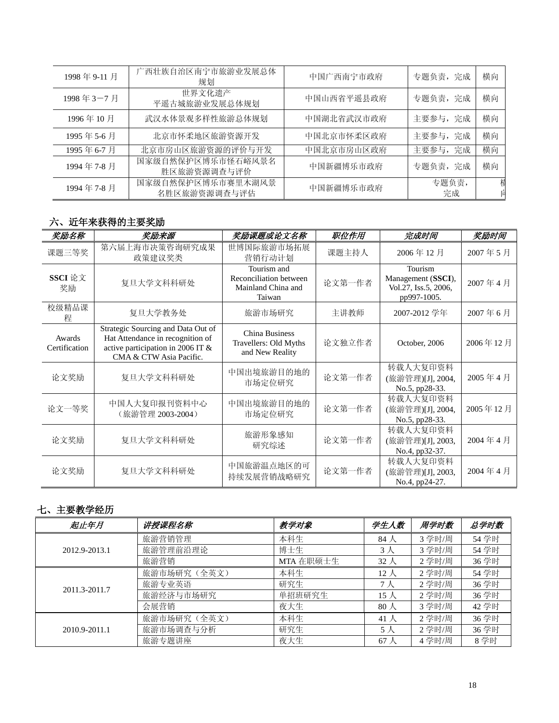| 1998年9-11月 | 广西壮族自治区南宁市旅游业发展总体<br>规划           | 中国广西南宁市政府  | 专题负责, 完成    | 横向 |
|------------|-----------------------------------|------------|-------------|----|
| 1998年3-7月  | 世界文化遗产<br>平遥古城旅游业发展总体规划           | 中国山西省平遥县政府 | 专题负责, 完成    | 横向 |
| 1996年10月   | 武汉水体景观多样性旅游总体规划                   | 中国湖北省武汉市政府 | 主要参与, 完成    | 横向 |
| 1995年5-6月  | 北京市怀柔地区旅游资源开发                     | 中国北京市怀柔区政府 | 主要参与, 完成    | 横向 |
| 1995年6-7月  | 北京市房山区旅游资源的评价与开发                  | 中国北京市房山区政府 | 主要参与, 完成    | 横向 |
| 1994年7-8月  | 国家级自然保护区博乐市怪石峪风景名<br>胜区旅游资源调查与评价  | 中国新疆博乐市政府  | 专题负责, 完成    | 横向 |
| 1994年7-8月  | 国家级自然保护区博乐市赛里木湖风景<br>名胜区旅游资源调查与评估 | 中国新疆博乐市政府  | 专题负责,<br>完成 | 桾  |

# 六、近年来获得的主要奖励

| 奖励名称                    | 奖励来源                                                                                                                                   | 奖励课题或论文名称                                                             | 职位作用   | 完成时间                                                                 | 奖励时间     |
|-------------------------|----------------------------------------------------------------------------------------------------------------------------------------|-----------------------------------------------------------------------|--------|----------------------------------------------------------------------|----------|
| 课题三等奖                   | 第六届上海市决策咨询研究成果<br>政策建议奖类                                                                                                               | 世博国际旅游市场拓展<br>营销行动计划                                                  | 课题主持人  | 2006年12月                                                             | 2007年5月  |
| SSCI 论文<br>奖励           | 复旦大学文科科研处                                                                                                                              | Tourism and<br>Reconciliation between<br>Mainland China and<br>Taiwan | 论文第一作者 | Tourism<br>Management (SSCI),<br>Vol.27, Iss.5, 2006,<br>pp997-1005. | 2007年4月  |
| 校级精品课<br>稈              | 复旦大学教务处                                                                                                                                | 旅游市场研究                                                                | 主讲教师   | 2007-2012 学年                                                         | 2007年6月  |
| Awards<br>Certification | Strategic Sourcing and Data Out of<br>Hat Attendance in recognition of<br>active participation in 2006 IT &<br>CMA & CTW Asia Pacific. | <b>China Business</b><br>Travellers: Old Myths<br>and New Reality     | 论文独立作者 | October, 2006                                                        | 2006年12月 |
| 论文奖励                    | 复旦大学文科科研处                                                                                                                              | 中国出境旅游目的地的<br>市场定位研究                                                  | 论文第一作者 | 转载人大复印资料<br>(旅游管理)[J], 2004,<br>No.5, pp28-33.                       | 2005年4月  |
| 论文一等奖                   | 中国人大复印报刊资料中心<br>(旅游管理 2003-2004)                                                                                                       | 中国出境旅游目的地的<br>市场定位研究                                                  | 论文第一作者 | 转载人大复印资料<br>(旅游管理)[J], 2004,<br>No.5, pp28-33.                       | 2005年12月 |
| 论文奖励                    | 复旦大学文科科研处                                                                                                                              | 旅游形象感知<br>研究综述                                                        | 论文第一作者 | 转载人大复印资料<br>(旅游管理)[J], 2003,<br>No.4, pp32-37.                       | 2004年4月  |
| 论文奖励                    | 复旦大学文科科研处                                                                                                                              | 中国旅游温点地区的可<br>持续发展营销战略研究                                              | 论文第一作者 | 转载人大复印资料<br>(旅游管理)[J], 2003,<br>No.4, pp24-27.                       | 2004年4月  |

# 七、主要教学经历

| 起止年月          | 讲授课程名称      | 教学对象      | 学生人数         | 周学时数   | 总学时数  |
|---------------|-------------|-----------|--------------|--------|-------|
|               | 旅游营销管理      | 本科生       | 84 人         | 3 学时/周 | 54 学时 |
| 2012.9-2013.1 | 旅游管理前沿理论    | 博士生       | 3 人          | 3学时/周  | 54 学时 |
|               | 旅游营销        | MTA 在职硕士生 | $32\lambda$  | 2学时/周  | 36 学时 |
| 2011.3-2011.7 | 旅游市场研究(全英文) | 本科生       | 12 $\lambda$ | 2学时/周  | 54 学时 |
|               | 旅游专业英语      | 研究生       | 7 人          | 2 学时/周 | 36 学时 |
|               | 旅游经济与市场研究   | 单招班研究生    | 15 $\lambda$ | 2学时/周  | 36 学时 |
|               | 会展营销        | 夜大生       | $80\lambda$  | 3学时/周  | 42 学时 |
|               | 旅游市场研究(全英文) | 本科生       | 41 人         | 2学时/周  | 36 学时 |
| 2010.9-2011.1 | 旅游市场调查与分析   | 研究生       | 5 人          | 2学时/周  | 36 学时 |
|               | 旅游专题讲座      | 夜大生       | 67 $\lambda$ | 4学时/周  | 8学时   |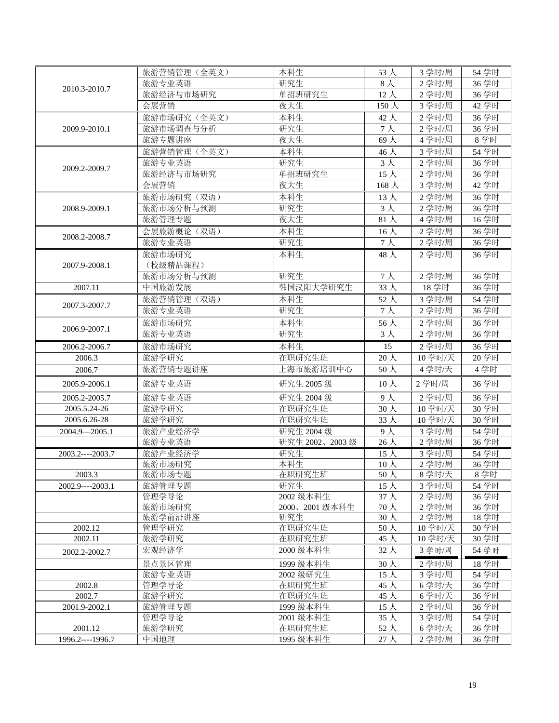|                   | 旅游营销管理(全英文)     | 本科生                    | 53 人               | 3学时/周            | 54 学时          |
|-------------------|-----------------|------------------------|--------------------|------------------|----------------|
| 2010.3-2010.7     | 旅游专业英语          | 研究生                    | $8\lambda$         | 2学时/周            | 36 学时          |
|                   | 旅游经济与市场研究       | 单招班研究生                 | $12$ 人             | 2学时/周            | 36 学时          |
|                   | 会展营销            | 夜大生                    | 150人               | 3学时/周            | 42 学时          |
|                   | 旅游市场研究(全英文)     | 本科生                    | $42 \lambda$       | 2学时/周            | 36 学时          |
| 2009.9-2010.1     | 旅游市场调查与分析       | 研究生                    | 7 <sub>1</sub>     | 2学时/周            | 36 学时          |
|                   | 旅游专题讲座          | 夜大生                    | 69人                | 4学时/周            | 8学时            |
|                   | 旅游营销管理(全英文)     | 本科生                    | 46人                | 3 学时/周           | 54 学时          |
| 2009.2-2009.7     | 旅游专业英语          | 研究生                    | $3\lambda$         | 2学时/周            | 36 学时          |
|                   | 旅游经济与市场研究       | 单招班研究生                 | 15人                | 2学时/周            | 36 学时          |
|                   | 会展营销            | 夜大生                    | 168 人              | 3学时/周            | 42 学时          |
|                   | 旅游市场研究(双语)      | 本科生                    | $13$ 人             | 2学时/周            | 36 学时          |
| 2008.9-2009.1     | 旅游市场分析与预测       | 研究生                    | $3\lambda$         | 2学时/周            | 36 学时          |
|                   | 旅游管理专题          | 夜大生                    | $81$ 人             | 4学时/周            | 16学时           |
| 2008.2-2008.7     | 会展旅游概论(双语)      | 本科生                    | $16$ 人             | $2$ 学时/周         | 36 学时          |
|                   | 旅游专业英语          | 研究生                    | 7 <sub>1</sub>     | $2$ 学时/周         | 36 学时          |
|                   | 旅游市场研究          | 本科生                    | 48人                | 2学时/周            | 36 学时          |
| 2007.9-2008.1     | (校级精品课程)        |                        |                    |                  |                |
|                   | 旅游市场分析与预测       | 研究生                    | 7 <sub>1</sub>     | 2学时/周            | 36 学时          |
| 2007.11           | 中国旅游发展          | 韩国汉阳大学研究生              | 33人                | 18 学时            | 36 学时          |
| 2007.3-2007.7     | 旅游营销管理(双语)      | 本科生                    | 52 人               | 3 学时/周           | 54 学时          |
|                   | 旅游专业英语          | 研究生                    | $7+$               | 2 学时/周           | 36 学时          |
| 2006.9-2007.1     | 旅游市场研究          | 本科生                    | 56人                | 2学时/周            | 36 学时          |
|                   | 旅游专业英语          | 研究生                    | $3\lambda$         | 2学时/周            | 36 学时          |
| 2006.2-2006.7     | 旅游市场研究          | 本科生                    | 15                 | 2 学时/周           | 36 学时          |
| 2006.3            | 旅游学研究           | 在职研究生班                 | 20人                | 10 学时/天          | 20学时           |
| 2006.7            | 旅游营销专题讲座        | 上海市旅游培训中心              | 50人                | 4 学时/天           | 4学时            |
| 2005.9-2006.1     | 旅游专业英语          | 研究生 2005 级             | $10$ 人             | 2 学时/周           | 36 学时          |
| 2005.2-2005.7     | 旅游专业英语          | 研究生 2004 级             | 9人                 | 2学时/周            | 36 学时          |
| 2005.5.24-26      | 旅游学研究           | 在职研究生班                 | $30$ 人             | 10 学时/天          | 30 学时          |
| 2005.6.26-28      | 旅游学研究           | 在职研究生班                 | 33人                | 10 学时/天          | 30 学时          |
| 2004.9-2005.1     | 旅游产业经济学         | 研究生 2004 级             | $9\lambda$         | 3 学时/周           | 54 学时          |
|                   | 旅游专业英语          | 研究生 2002、2003级         | $26\lambda$        | 2学时/周            | 36 学时          |
| 2003.2----2003.7  | 旅游产业经济学         | 研究生                    | 15 $\lambda$       | 3学时/周            | 54 学时          |
|                   | 旅游市场研究          | 本科生                    | 10 <sub>2</sub>    | 2学时/周            | 36 学时          |
| 2003.3            | 旅游市场专题          | 在职研究生班                 | 50人                | 8学时/天            | 8学时            |
| $2002.9---2003.1$ | 旅游管理专题          | 研究生                    | 15 $\lambda$       | 3 学时/周           | 54 学时          |
|                   | 管理学导论           | 2002 级本科生              | 37人                | 2学时/周            | 36 学时          |
|                   | 旅游市场研究          | 2000、2001 级本科生         | 70人                | 2学时/周            | 36 学时          |
|                   | 旅游学前沿讲座         | 研究生                    | 30 <sub>0</sub>    | 2学时/周            | 18 学时          |
| 2002.12           | 管理学研究           | 在职研究生班                 | 50人                | 10 学时/天          | 30 学时          |
| 2002.11           | 旅游学研究           | 在职研究生班                 | 45人                | 10 学时/天          | 30 学时          |
| 2002.2-2002.7     | 宏观经济学           | 2000 级本科生              | $32\lambda$        | 3 学时/周           | 54 学时          |
|                   | 景点景区管理          | 1999 级本科生              | $30 \lambda$       | 2 学时/周           | 18 学时          |
|                   | 旅游专业英语          | 2002 级研究生              | 15 $\lambda$       | 3学时/周            | 54 学时          |
| 2002.8            | 管理学导论           | 在职研究生班                 | 45 $\lambda$       | 6学时/天            | 36 学时          |
| 2002.7            | 旅游学研究           | 在职研究生班                 | 45人                | 6学时/天            | 36 学时          |
| 2001.9-2002.1     | 旅游管理专题<br>管理学导论 | 1999 级本科生<br>2001 级本科生 | 15 $\lambda$       | 2 学时/周<br>3 学时/周 | 36 学时<br>54 学时 |
| 2001.12           | 旅游学研究           | 在职研究生班                 | $35\lambda$<br>52人 | 6学时/天            | 36 学时          |
| 1996.2----1996.7  | 中国地理            | 1995 级本科生              | 27人                | 2学时/周            | 36 学时          |
|                   |                 |                        |                    |                  |                |